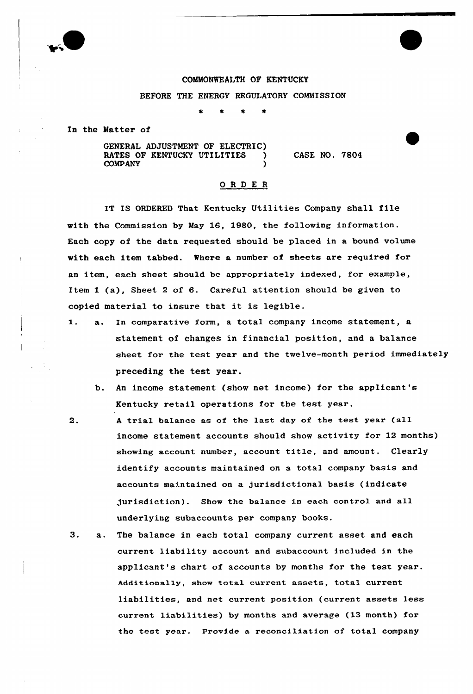

### COMMONWEALTH OF KENTUCKY

### BEFORE THE ENERGY REGULATORY COMMISSION

In the Matter of

GENERAL ADJUSTMENT OF ELECTRIC) RATES OF KENTUCKY UTILITIES **COMPANY** 

CASE NO. 7804

### ORDE <sup>R</sup>

IT IS ORDERED That Kentucky Utilities Company shall file with the Commission by May 16, 1980, the following information. Each copy of the data requested should be placed in a bound volume with each item tabbed. Where a number of sheets are required for an item, each sheet should be appropriately indexed, for example, Item 1 (a), Sheet <sup>2</sup> of 6. Careful attention should be given to copied material to insure that it is legible.

- 1. a. In comparative form, <sup>a</sup> total company income statement, <sup>a</sup> statement of changes in financial position, and a balance sheet for the test year and the twelve-month period immediately preceding the test year.
	- b. An income statement (show net income) for the applicant's Kentucky retail operations for the test year.
- 2. <sup>A</sup> trial balance as of the last day of the test year (all income statement accounts should show activity for 12 months) showing account number, account title, and amount, Clearly identify accounts maintained on a total company basis and accounts maintained on a jurisdictional basis (indicate jurisdiction). Show the balance in each control and all underlying subaccounts per company books.
- $3.$ a. The balance in each total company current asset and each current liability account and subaccount included in the applicant's chart of accounts by months for the test year. Additionally, show total current assets, total current liabilities, and net current position (current assets less current liabilities) by months and average (13 month) for the test year. Provide a reconciliation of total company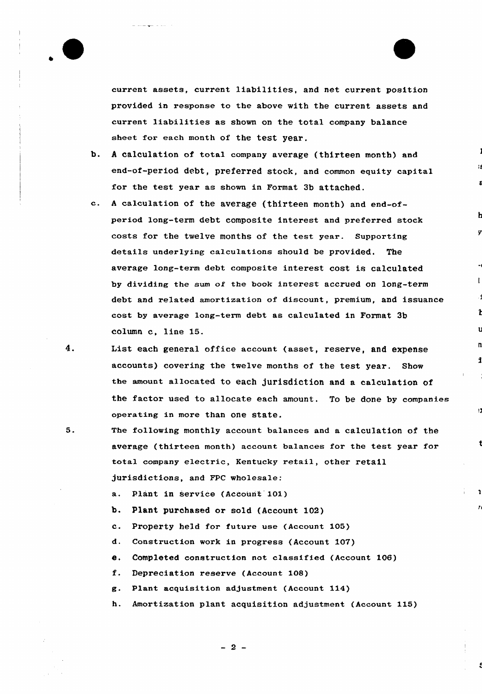

current assets, current liabilities, and net current position provided in response to the above with the current assets and current liabilities as shown on the total company balance sheet for each month of the test year.

- b. <sup>A</sup> calculation of total company average (thirteen month) and end-of-period debt, preferred stock, and common equity capital for the test year as shown in Format 3b attached.
- C. <sup>A</sup> calculation of the average (thirteen month) and end-ofperiod long-term debt composite interest and preferred stock costs for the twelve months of the test year. Supporting details underlying calculations should be provided, The avexage long-term debt composite interest cost is calculated by dividing the sum of the book interest accxued on long-term debt and related amortization of discount, premium, and issuance cost by average long-term debt as calculated in Format 3b column c, line 15.
- List each general office account (asset, reserve, and expense accounts) covering the twelve months of the test year. Show the amount allocated to each jurisdiction and a calculation of the factox used to allocate each amount. To be done by companies operating in more than one state.

ø

1

 $\mathbf{r}$ 

 $\mathcal{F}$ 

- $5.$ The following monthly account balances and a calculation of the average (thirteen month) account balances for the test year for total company electric, Kentucky retail, other retail jurisdictions, and FPC wholesale:
	- a. Plant in service (Account 101)
	- b. Plant purchased or sold (Account 102)
	- c. Property held for future use (Account 105)
	- d. Construction work in progress (Account 107)
	- e. Completed construction not classified (Account 106)
	- f. Depreciation reserve (Account 108)
	- g. Plant acquisition adjustment (Account 114)
	- h. Amortization plant acquisition adjustment (Account 115)

 $-2-$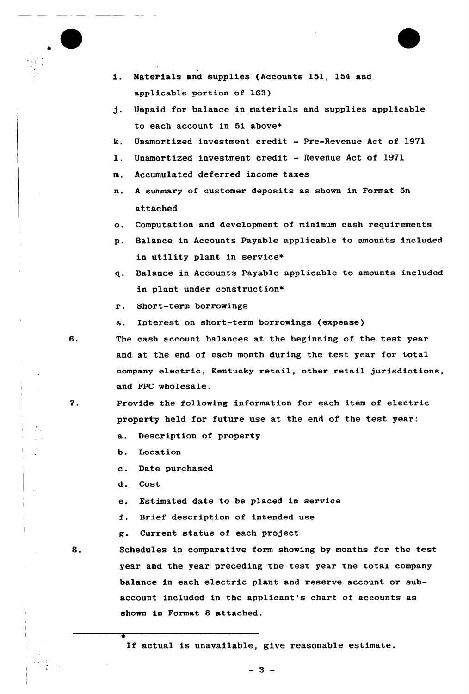- Materials and supplies (Accounts 151, 154 and applicable portion of 163)
- j. Unpaid for balance in materials and supplies applicable to each account in 5i above\*
- k. Unamortized investment credit Pre-Revenue Act of 1971
- l. Unamortized investment credit Revenue Act of <sup>1971</sup>
- m. Accumulated deferred income taxes
- n. <sup>A</sup> summary of customer deposits as shown in Format Sn attached
- o. Computation and development of minimum cash requirements
- p. Balance in Accounts Payable applicable to amounts included in utility plant in service+
- q. Balance in Accounts Payable applicable to amounts included in plant under construction\*
- r. Short-term borrowings
- s. Interest on short-term borrowings (expense)
- The cash account balances at the beginning of the test yeax and at the end of each month during the test year for total company electric, Kentucky retail, other retail jurisdictions, and FPC wholesale.
- Provide the following information for each item of electric property held for future use at the end of the test year:
	- a. Descxiption of property
	- b. Location
	- c. Date purchased
	- d. Cost
	- e. Estimated date to be placed in service
	- f. Brief description of intended use
	- g. Current status of each project
- 8.

7.

Schedules in comparative form showing by months for the test year and the year preceding the test year the total company balance in each electric plant and reserve account or subaccount included in the applicant's chart of accounts as shown in Format 8 attached.

If actual is unavailable, give reasonable estimate.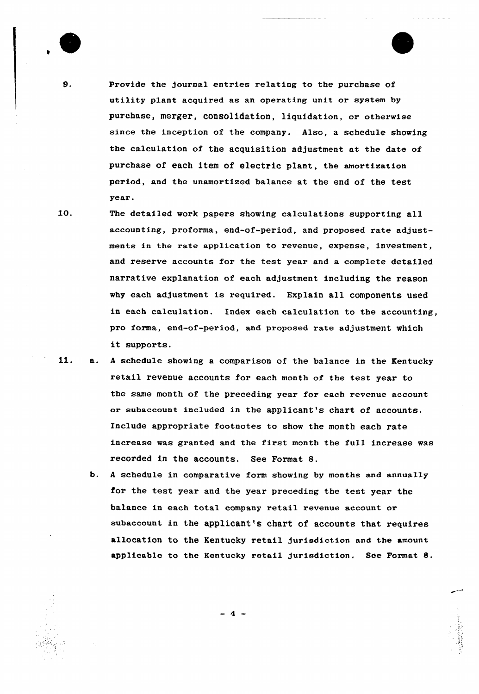

e

Provide the journal entries relating to the purchase of utility plant acquired as an operating unit or system by purchase, merger, consolidation, liquidation, or otherwise since the inception of the company. Also, a schedule showing the calculation of the acquisition adjustment at the date of purchase of each item of electric plant, the amortization period, and the unamortized balance at the end of the test vear.

10.

The detailed work papers showing calculations supporting all accounting, proforma, end-of-period, and proposed rate adjustments in the rate application to revenue, expense, investment, and reserve accounts for the test year and a complete detailed narrative explanation of each adjustment including the reason why each adjustment is required. Explain all components used in each calculation. Index each calculation to the accounting, pro forma, end-of-period, and proposed rate adjustment which it supports.

11. a. <sup>A</sup> schedule showing a comparison of the balance in the Kentucky retail revenue accounts for each month of the test year to the same month of the preceding year for each revenue account or subaceount included in the applicant's chart of accounts. Include appropriate footnotes to show the month each rate increase was granted and the first month the full increase was recorded in the accounts. See Format 8.

b. <sup>A</sup> schedule in comparative form showing by months and annually for the test year and the year preceding the test year the balance in each total company retail revenue account or subaccount in the applicant's chart of accounts that requires allocation to the Kentucky retail jurisdiction and the amount applicable to the Kentucky retail jurisdiction, See Format 8.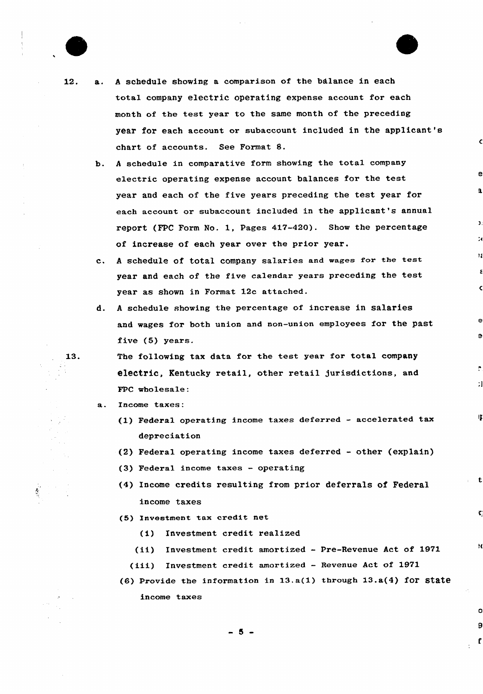

 $\mathcal{S}$ 

- 12. a. <sup>A</sup> schedule showing a comparison of the balance in each total company electric operating expense account for each month of the test year to the same month of the preceding year for each account or subaccount included in the applicant's chart of accounts. See Format 8.
	- b. <sup>A</sup> schedule in comparative form showing the total company electric operating expense account balances for the test year and each of the five years preceding the test year for each account or subaccount included in the applicant's annual report (FPC Form No. 1, Pages 417-420). Show the percentage of increase of each year over the prior year.
	- c. A schedule of total company salaries and wages for the test year and each of the five calendar years preceding the test year as shown in Format 12c attached.
	- d. <sup>A</sup> schedule showing the percentage of increase in salaries and wages for both union and non-union employees for the past five (5) years.

è

IJ.

 $\mathbf t$ 

×

O 9

f.

The following tax data for the test year for total company electric, Kentucky retail, other retail jurisdictions, and FPC wholesale:

- Income taxes:
	- (1) Federal operating income taxes deferred accelerated tax depreciation
	- (2) Federal operating income taxes deferred other {explain)
	- (3) Federal income taxes operating
	- (4) Income credits resulting from prior deferrals of Federal income taxes
	- (5) Investment tax credit net
		- (i) Investment credit realized
		- (ii) Investment credit amortized Pre-Revenue Act of 1971
		- (iii) Investment credit amortized Revenue Act of <sup>1971</sup>
		- (6) Provide the information in  $13.a(1)$  through  $13.a(4)$  for state income taxes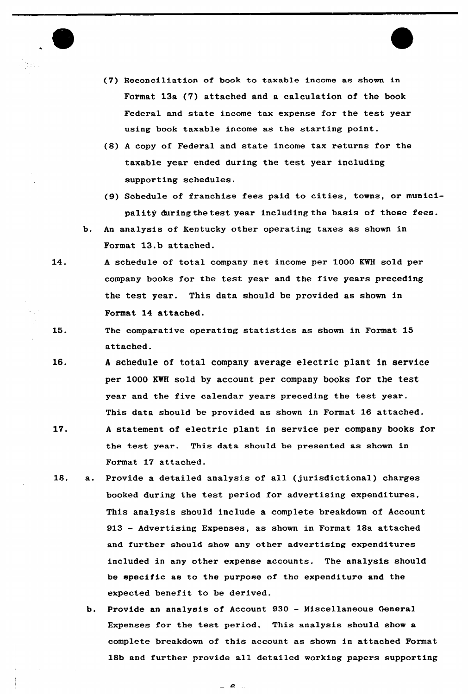

- (7) Reconciliation of book to taxable income as shown in Format 13a (7) attached and a calculation of the book Federal and state income tax expense for the test year using book taxable income as the starting point.
- (8) <sup>A</sup> copy of Federal and state income tax returns for the taxable year ended during the test year including supporting schedules.
- (9) Schedule of franchise fees paid to cities, towns, or municipality during the test year including the basis of these fees.
- b. An analysis of Kentucky other operating taxes as shown in Format 13.b attached.
- 14. <sup>A</sup> schedule of total company net income per 1000 KWH sold per company books for the test year and the five years preceding the test year. This data should be provided as shown in Format 14 attached.
- 15. The comparative operating statistics as shown in Format 15 attached.
- 16. <sup>A</sup> schedule of total company average electric plant in service per 1000 KWH sold by account per company books for the test year and the five calendar years preceding the test year. This data should be provided as shown in Format 16 attached.
- 17. <sup>A</sup> statement of electric plant in service per company books for the test year. This data should be presented as shown in Format 17 attached.
- 18. a. Provide a detailed analysis of all (jurisdictional) charges booked during the test period for advertising expenditures. This analysis should include a complete breakdown of Account 913 — Advertising Expenses, as shown in Format 18a attached and further should show any other advertising expenditures included in any other expense accounts, The analysis should be specific as to the purpose of the expenditure and the expected benefit to be derived.
	- b. Provide an analysis of Account 930 Miscellaneous General Expenses for the test period. This analysis should show a complete breakdown of this account as shown in attached Format 18b and further provide all detailed working papers supporting

 $\overline{a}$  $\sim$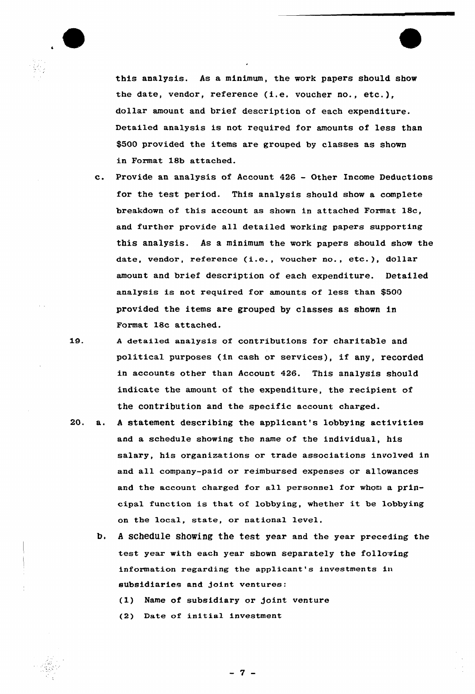

this analysis. As a minimum, the work papers should show the date, vendor, reference (i.e. voucher no., etc.), dollar amount and brief description of each expenditure. Detailed analysis is not required for amounts of less than \$500 provided the items are grouped by classes as shown in Format 18b attached.

- c. Provide an analysis of Account <sup>426</sup> Other Income Deductions for the test period. This analysis should show a complete breakdown of this account as shown in attached Format 18c, and further provide all detailed working papers supporting this analysis. As a minimum the work papers should show the date, vendor, reference (i.e., voucher no., etc.), dollar amount and brief description of each expenditure. Detailed analysis is not required for amounts of less than \$500 provided the items are grouped by classes as shown in Format 18c attached.
- 1.9. <sup>A</sup> detailed analysis of contributions for charitable and political purposes (in cash or services), if any, recorded in accounts other than Account 426. This analysis should indicate the amount of the expenditure, the recipient of the contribution and the specific account charged.
- 20. a. <sup>A</sup> statement describing the applicant's lobbying activities and a schedule showing the name of the individual, his salary, his organizations or trade associations involved in and all company-paid or reimbursed expenses or allowances and the account charged for all personnel for whom a principal function is that of lobbying, whether it be lobbying on the local, state, or national level.
	- b. A schedule showing the test year and the year preceding the test year with each year shown separately the following information regarding the applicant's investments in subsidiaries and joint ventures:

(1) Name of subsidiary or Joint venture

(2) Date of initia1 investment

-7 -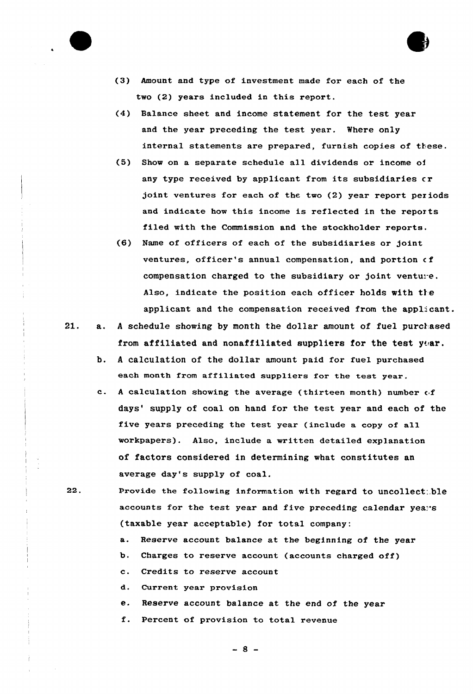

- (3) Amount and type of investment made for each of the two (2) years included in this report.
- (4) Balance sheet and income statement for the test year and the year preceding the test year. Where only internal statements are prepared, furnish copies of these.
- (5) Show on a separate schedule all dividends or income of any type received by applicant from its subsidiaries cr joint ventures for each of the two (2) year report periods and indicate how this income is reflected in the reports filed with the Commission and the stockholder reports.
- (6) Name of officers of each of the subsidiaries or joint ventures, officer's annual compensation, and portion of compensation charged to the subsidiary or joint venture. Also, indicate the position each officer holds with the applicant and the compensation received from the applicant.
- 21. a. A schedule showing by month the dollar amount of fuel purchased from affiliated and nonaffiliated suppliers for the test  $y_{\text{car}}$ .
	- b. <sup>A</sup> calculation of the dollar amount paid for fuel purchased each month from affiliated suppliers for the test year.
	- c. A calculation showing the average (thirteen month) number of days' supply of coal on hand for the test year and each of the five years preceding the test year (include a copy of all workpapers). Also, include a written detailed explanation of factors considered in determining what constitutes an average day's supply of coal.
- 22. Provide the following information with regard to uncollect.ble accounts for the test year and five preceding calendar years (taxable year acceptable) for total company:
	- a. Reserve account balance at the beginning of the year
	- b. Charges to reserve account (accounts charged off)
	- c. Credits to reserve account
	- d. Current year provision
	- e. Reserve account balance at the end of the year
	- f. Percent of provision to total revenue

 $-8 -$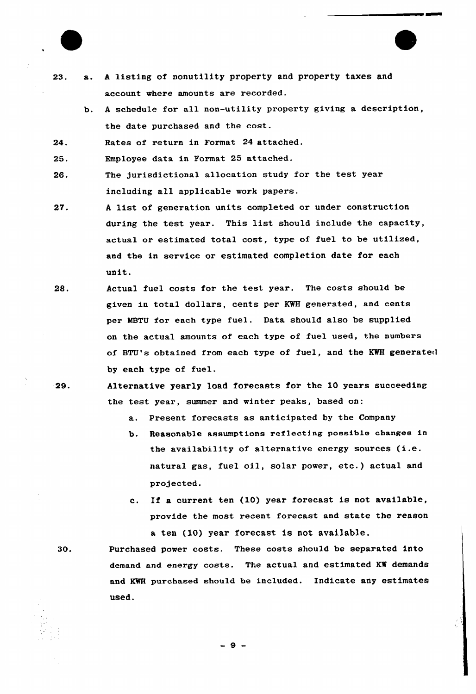

- 23. a. <sup>A</sup> listing of nonutility property and property taxes and account where amounts are recorded.
	- b. <sup>A</sup> schedule for all non-utility property giving a description, the date purchased and the cost.

24. Rates of return in Format 24 attached.

25. Employee data in Format 25 attached.

- 26. The jurisdictional allocation study for the test year including all applicable work papers.
- A list of generation units completed or under construction  $27.$ during the test year. This list should include the capacity, actual or estimated total cost, type of fuel to be utilized, and the in service or estimated completion date for each unit.
- 28. Actual fuel costs for the test year. The costs should be given in total dollars, cents per KWH generated, and cents per MBTU for each type fuel. Data should also be supplied on the actual amounts of each type of fuel used, the numbers of BTU's obtained from each type of fuel, and the KWH generated by each type of fuel.
- Alternative yearly load forecasts for the i0 years succeeding 29. the test year, summer and winter peaks, based on:
	- a. Present forecasts as anticipated by the Company
	- b. Reasonable assumptions reflecting possible changes in the availability of alternative energy sources (i.e. natural gas, fuel oil, solar power, etc.) actual and projected.
	- c. If a current ten (10) year forecast is not available, provide the most recent forecast and state the reason a ten (10) year forecast is not available.

Purchased power costs. These costs should be separated into demand and energy costs. The actual and estimated K% demands and KWH purchased should be included. Indicate any estimates Used.

30.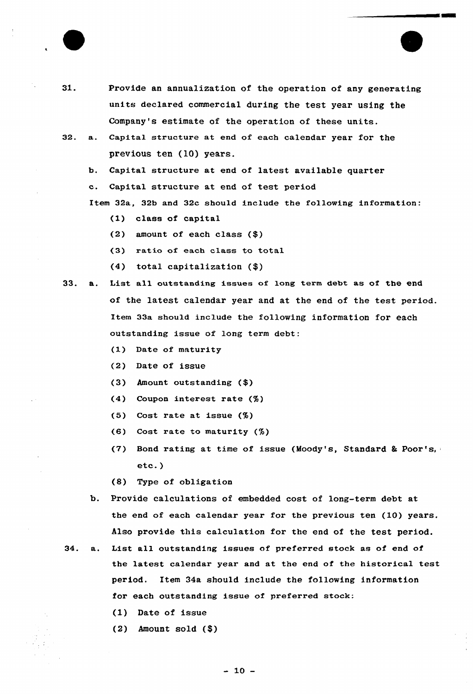

- 31. Provide an annualization of the operation of any generating units declared commercial during the test year using the Company's estimate of the operation of these units.
- 32. a. Capital structure at end of each calendar year for the previous ten (10) years.
	- b. Capital structure at end of latest available quarter
	- c. Capital structure at end of test period

Item 32a, 32b and 32c should include the following information:

- (1) class of capital
- (2) amount of each class (\$)
- (3) ratio of each class to total
- $(4)$  total capitalization  $(\$)$
- 33. a. List all outstanding issues of long term debt as of the end of the latest calendar year and at the end of the test period. Item 33a should include the following information for each outstanding issue of long term debt:
	- (1) Date of maturity
	- (2) Date of issue
	- (3) Amount outstanding (4)
	- (4) Coupon interest rate (%)
	- (5) Cost rate at issue (%)
	- (6) Cost rate to maturity (%)
	- (7) Bond rating at time of issue (Moody's, Standard & Poor's, etc.)
	- (8) Type of obligation
	- b. Provide calculations of embedded cost of long-term debt at the end of each calendar year for the previous ten (10) years. Also provide this calculation for the end of the test period.
- 34. a. List all outstanding issues of preferred stock as of end of the latest calendar year and at the end of the historical test period. Item 34a should include the following information for each outstanding issue of preferred stock:
	- (1) Date of issue
	- $(2)$  Amount sold  $(\$)$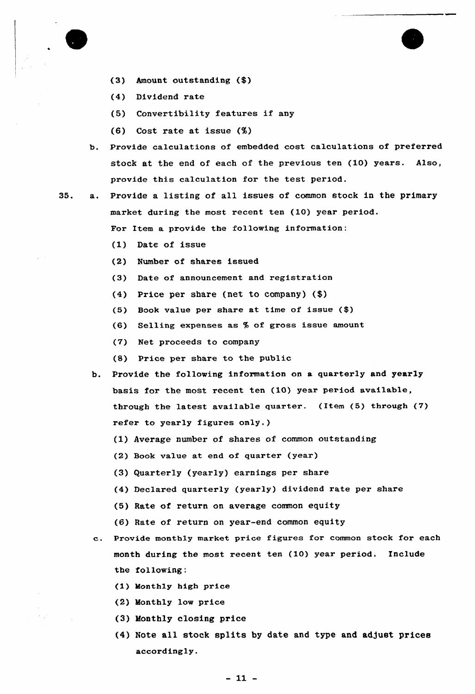

- (3) Amount outstanding (\$)
- (4) Dividend rate
- (5) Convertibility features if any
- (6) Cost rate at issue (%)
- b. Provide calculations of embedded cost calculations of preferred stock at the end of each of the previous ten (10) years. Also, provide this calculation for the test period.

35. a. Provide a listing of all issues of common stock in the primary market during the most recent ten (10) year period.

For Item a provide the following information:

- (1) Date of issue
- (2) Number of shares issued
- (3) Date of announcement and registration
- (4) Price per share (net to company) (\$)
- (5) Book value per share at time of issue (\$)
- (6) Selling expenses as % of gross issue amount
- (7) Net proceeds to company
- (8) Price per share to the public
- b. Provide the following information on a quarterly and yearly basis for the most recent ten (10) year period available, through the latest available quarter. (Item (5) through (7) refer to yearly figures only.)
	- (1) Average number of shares of common outstanding
	- (2) Book value at end of quarter (year)
	- (3) Quarterly (yearly) earnings per share
	- (4) Declared quarterly (yearly) dividend rate per share
	- (5) Rate of return on average common equity
	- (6) Rate of return on year-end common equity
- $c_{\cdot}$ Provide monthly market price figures for common stock for each month during the most recent ten (10) year period. Include the following:
	- (1) Monthly high price
	- (2) Monthly low price
	- (3) Monthly closing price
	- (4) Note all stock splits by date and type and adjust prices accordingly.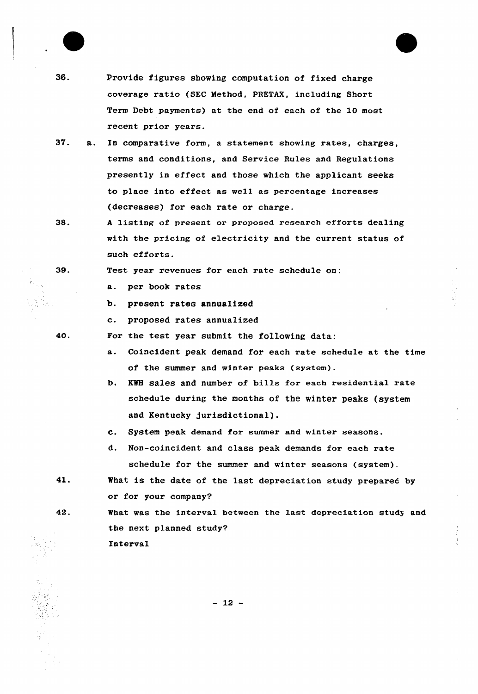

40.

42.

36. Provide figures showing computation of fixed charge coverage ratio (SEC Method, PRETAX, including Short Term Debt payments) at the end of each of the 10 most recent prior years.

- 37. a. In comparative form, a statement showing rates, charges, terms and conditions, and Service Rules and Regulations presently in effect and those which the applicant seeks to place into effect as well as percentage increases (decreases) for each rate or charge.
- 38. <sup>A</sup> listing of present or proposed research efforts dealing with the pricing of electricity and the current status of such efforts.

Test year revenues for each rate schedule on:

a. per book rates

- b, present rates annualized
- c. proposed rates annualized
- For the test year submit the following data:
	- a. Coincident peak demand for each rate schedule at the time of the summer and winter peaks (system)
	- b. KWH sales and number of bills for each residential rate schedule during the months of the winter peaks (system and Kentucky Jurisdictional).
	- c. System peak demand for summer and winter seasons.
	- d. Non-coincident and class peak demands for each rate schedule for the summer and winter seasons (system).
- 41. What is the date of the last depreciation study prepared by or for your company?

What was the interval between the last depreciation study and the next planned study? Interval

 $\frac{1}{2}$ 

 $-12 -$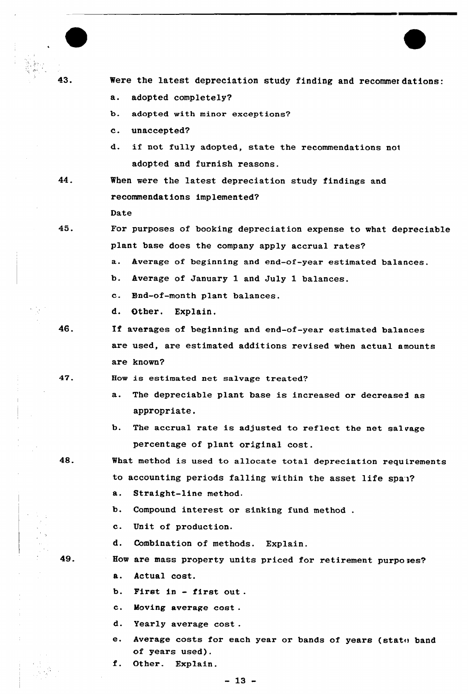

43. Were the latest depreciation study finding and recommer dations:

- a. adopted completely?
- b. adopted with minor exceptions?
- c. unaccepted?
- d. if not fully adopted, state the recommendations noi adopted and furnish reasons.

44.

When were the latest depreciation study findings and recommendations implemented? Date

45.

For purposes of booking depreciation expense to what depreciable plant base does the company apply accrual rates?

a. kverage of beginning and end-of-year estimated balances.

- b. kverage of January 1 and July 1 balances.
- c. End-of-month plant balances.
- d. Other. Explain.
- 46.

If averages of beginning and end-of-year estimated balances are used, are estimated additions revised when actual amounts are known'

47.

- Bow is estimated net salvage treated?
	- a. The depreciable plant base is increased or decreased as appropriate.
	- b. The accrual rate is adjusted to reflect the net salvage percentage of plant original cost.
- 48.

What method is used to allocate total depreciation requirements to accounting periods falling within the asset life span?

- $\mathbf{a}$ . Straight-line method.
- b. Compound interest or sinking fund method.
- c. Unit of production.
- d. Combination of methods. Explain.

49.

- How are mass property units priced for retirement purpo ses? **a.** Actual cost.
	- b. First in first out .
	- c. Moving average cost .
	- d. Yearly average cost .
	- e. Average costs for each year or bands of years (state band of years used).

f. Other. Explain.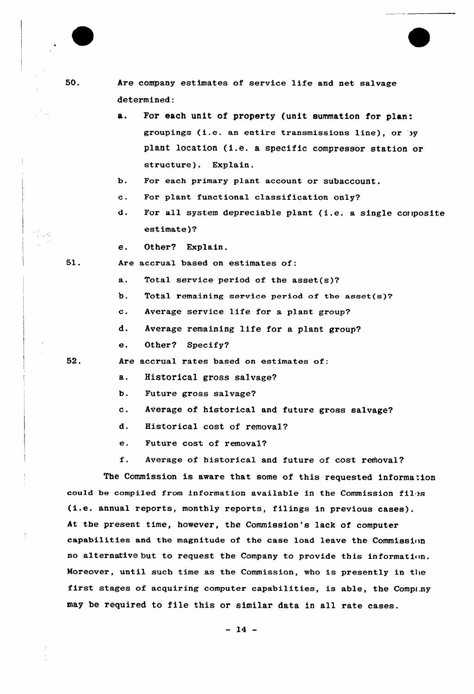| 50. |                | Are company estimates of service life and net salvage                |
|-----|----------------|----------------------------------------------------------------------|
|     |                | determined:                                                          |
|     | а.             | For each unit of property (unit summation for plant                  |
|     |                | groupings (i.e. an entire transmissions line), or by                 |
|     |                | plant location (i.e. a specific compressor station or                |
|     |                | structure). Explain.                                                 |
|     | ъ.             | For each primary plant account or subaccount.                        |
|     | $\mathbf{c}$ . | For plant functional classification only?                            |
|     | d.             | For all system depreciable plant (i.e. a single composite            |
|     |                | estimate)?                                                           |
|     | е.             | Other? Explain.                                                      |
| 51. |                | Are accrual based on estimates of:                                   |
|     | a.             | Total service period of the asset $(s)$ ?                            |
|     | b.             | Total remaining service period of the asset(s)?                      |
|     | $\mathbf{c}$ . | Average service life for a plant group?                              |
|     | d.             | Average remaining life for a plant group?                            |
|     | е.             | Other? Specify?                                                      |
| 52. |                | Are accrual rates based on estimates of:                             |
|     | а.             | Historical gross salvage?                                            |
|     | b.             | Future gross salvage?                                                |
|     | c.             | Average of historical and future gross salvage?                      |
|     | d.             | Historical cost of removal?                                          |
|     | е.             | Future cost of removal?                                              |
|     | f.             | Average of historical and future of cost removal?                    |
|     |                | The Commission is aware that some of this requested information      |
|     |                | could be compiled from information available in the Commission files |
|     |                | (i.e. annual reports, monthly reports, filings in previous cases).   |
|     |                | At the present time, however, the Commission's lack of computer      |
|     |                | capabilities and the magnitude of the case load leave the Commission |

51.

no alternative but to request the Company to provide this information. Moreover, until such time as the Commission, who is presently in the first stages of acquiring computer capabilities, is able, the Compr.ny may be required to file this or similar data in all rate cases.

 $-14 -$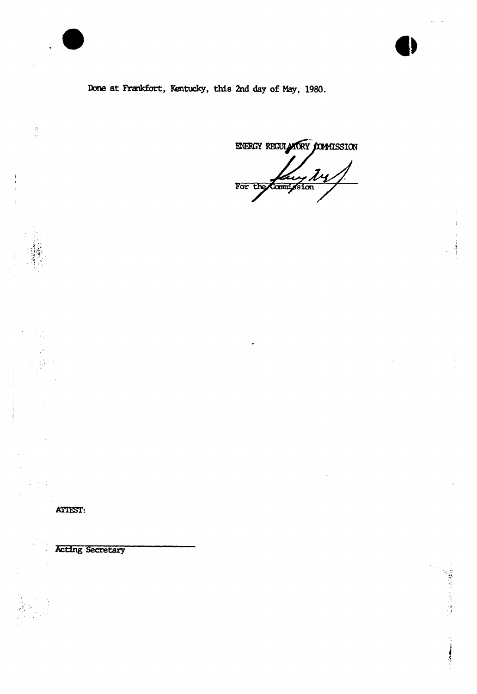Done at Frankfort, Kentucky, this 2nd day of May, 1980.

ENERGY REGULATORY COMMISSION For the Countysion

ATTEST:

 $\begin{array}{c} \frac{1}{\sqrt{2}} \\ \frac{1}{\sqrt{2}} \end{array}$ 

Acting Secretary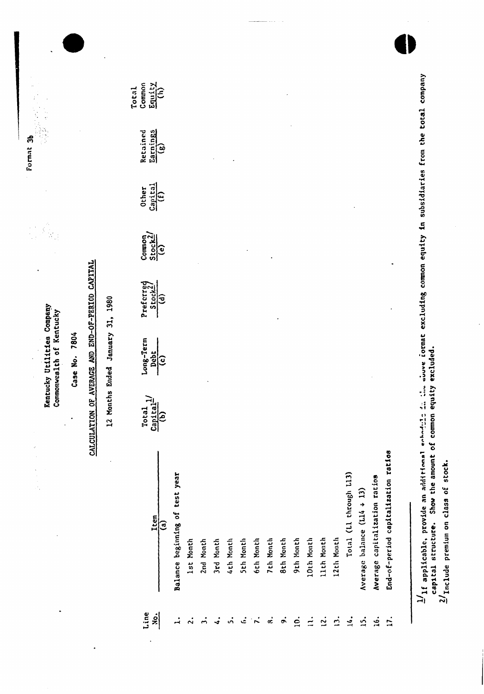| ٠                          | ÷.                                  |                                                  | Kentucky Utilities Company<br>Commonwealth of Kentucky |                             |                                                                                                                                                                                                                                                                                                                                                                                                                                                                      |                                              |                                      |                           |
|----------------------------|-------------------------------------|--------------------------------------------------|--------------------------------------------------------|-----------------------------|----------------------------------------------------------------------------------------------------------------------------------------------------------------------------------------------------------------------------------------------------------------------------------------------------------------------------------------------------------------------------------------------------------------------------------------------------------------------|----------------------------------------------|--------------------------------------|---------------------------|
|                            |                                     |                                                  | Case No. 7804                                          |                             |                                                                                                                                                                                                                                                                                                                                                                                                                                                                      |                                              |                                      |                           |
|                            |                                     | CALCULATION OF AVERAGE AND END-OF-PERIOD CAPITAL |                                                        |                             |                                                                                                                                                                                                                                                                                                                                                                                                                                                                      |                                              |                                      |                           |
|                            | $\lambda$                           | 12 Months                                        | Ended January 31, 1980                                 |                             |                                                                                                                                                                                                                                                                                                                                                                                                                                                                      |                                              |                                      |                           |
| Line<br>$\dot{\mathbf{z}}$ | Item<br>$\mathbf{G}$                | $rac{c_{\text{apitial}}}{b}$<br>Total            | Long-Term<br>Debt<br>$\hat{c}$                         | Preferred<br>$\overline{d}$ | $\begin{array}{c}\n\text{Common} \\ \text{Stock2}/\text{e} \\ \text{O} \\ \text{O} \\ \text{O} \\ \text{O} \\ \text{O} \\ \text{O} \\ \text{O} \\ \text{O} \\ \text{O} \\ \text{O} \\ \text{O} \\ \text{O} \\ \text{O} \\ \text{O} \\ \text{O} \\ \text{O} \\ \text{O} \\ \text{O} \\ \text{O} \\ \text{O} \\ \text{O} \\ \text{O} \\ \text{O} \\ \text{O} \\ \text{O} \\ \text{O} \\ \text{O} \\ \text{O} \\ \text{O} \\ \text{O} \\ \text{O} \\ \text{O} \\ \text$ | $\frac{\text{Capital}}{\text{(f)}}$<br>Other | Earnings<br>Retained<br>$\mathbf{G}$ | Equity<br>Common<br>Total |
| $\vec{r}$                  | Balance beginning of test year      |                                                  |                                                        |                             |                                                                                                                                                                                                                                                                                                                                                                                                                                                                      |                                              |                                      |                           |
| $\mathbf{a}$               | 1st Month                           |                                                  |                                                        |                             |                                                                                                                                                                                                                                                                                                                                                                                                                                                                      |                                              |                                      |                           |
| $\vec{r}$                  | 2nd Month                           |                                                  |                                                        |                             |                                                                                                                                                                                                                                                                                                                                                                                                                                                                      |                                              |                                      |                           |
| $\mathbf{I}$               | 3rd Month                           |                                                  |                                                        |                             |                                                                                                                                                                                                                                                                                                                                                                                                                                                                      |                                              |                                      |                           |
| $\dot{\mathbf{v}}$         | 4th Month                           |                                                  |                                                        |                             |                                                                                                                                                                                                                                                                                                                                                                                                                                                                      |                                              |                                      |                           |
| ئى                         | <b>Sth Month</b>                    |                                                  |                                                        |                             |                                                                                                                                                                                                                                                                                                                                                                                                                                                                      |                                              |                                      |                           |
| $\tilde{\mathbf{r}}$       | 6th Month                           |                                                  |                                                        |                             |                                                                                                                                                                                                                                                                                                                                                                                                                                                                      |                                              |                                      |                           |
| $\dot{\mathbf{z}}$         | 7th Month                           |                                                  |                                                        |                             |                                                                                                                                                                                                                                                                                                                                                                                                                                                                      |                                              |                                      |                           |
| $\ddot{\bullet}$           | <b>Bth Month</b>                    |                                                  |                                                        |                             |                                                                                                                                                                                                                                                                                                                                                                                                                                                                      |                                              |                                      |                           |
| $\dot{q}$                  | 9th Month                           |                                                  |                                                        |                             |                                                                                                                                                                                                                                                                                                                                                                                                                                                                      |                                              |                                      |                           |
| $\dot{z}$                  | 10th Month                          |                                                  |                                                        |                             |                                                                                                                                                                                                                                                                                                                                                                                                                                                                      |                                              |                                      |                           |
| 12.                        | 11th Month                          |                                                  |                                                        |                             |                                                                                                                                                                                                                                                                                                                                                                                                                                                                      |                                              |                                      |                           |
| $\dot{\mathbf{c}}$         | 12th Month                          |                                                  |                                                        |                             |                                                                                                                                                                                                                                                                                                                                                                                                                                                                      |                                              |                                      |                           |
| $\frac{1}{2}$              | Total (Ll through L13)              |                                                  |                                                        |                             |                                                                                                                                                                                                                                                                                                                                                                                                                                                                      |                                              |                                      |                           |
| $\ddot{5}$                 | Average balance (L14 + 13)          |                                                  |                                                        |                             |                                                                                                                                                                                                                                                                                                                                                                                                                                                                      |                                              |                                      |                           |
| is.                        | Average capitalization ratios       |                                                  |                                                        |                             |                                                                                                                                                                                                                                                                                                                                                                                                                                                                      |                                              |                                      |                           |
| $\overline{17}$ .          | End-of-period capitalization ratios |                                                  |                                                        |                             |                                                                                                                                                                                                                                                                                                                                                                                                                                                                      |                                              |                                      |                           |

l,

 $\ddot{\phantom{0}}$ 

 $\ddot{\phantom{0}}$ 

 $\ddot{\phantom{0}}$ 

 $\frac{1}{4}$ If applicable, provide an additional echody of the showe format excluding common equity in subsidiaties from the total company<br>capital structure. Show the amount of common equity excluded.<br><sup>2/</sup>Include premium on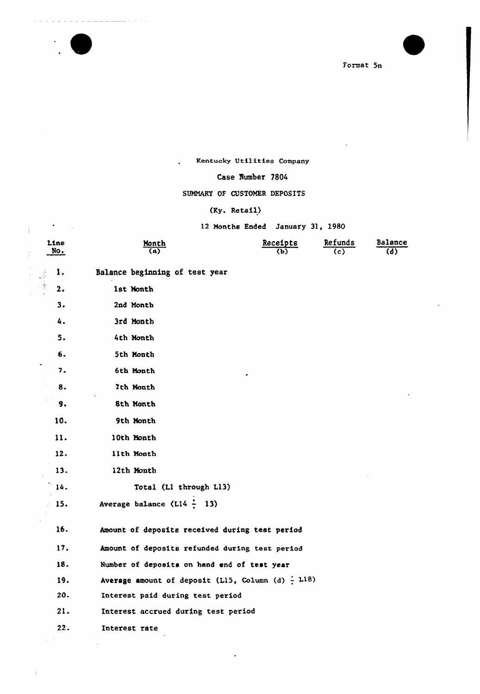

 $\sim$  .

 $\sim$   $\sim$ 

 $\frac{1}{3}$ 

والمستستسلسية

Format 5n

### Kentucky Utilities Company

### Case Number 7804

### SUMMARY OF CUSTOMER DEPOSITS

### (Ky. Retail)

 $\mathbf{A}^{\dagger}$ 

12 Months Ended January 31, 1980

| Line<br>No. | Month<br>a)                                            | Receipts<br>(Ъ) | Refunds<br>(c) | Balance<br>(d) |
|-------------|--------------------------------------------------------|-----------------|----------------|----------------|
| 1.          | Balance beginning of test year                         |                 |                |                |
| 2.          | 1st Month                                              |                 |                |                |
| 3.          | 2nd Month                                              |                 |                |                |
| 4.          | 3rd Month                                              |                 |                |                |
| 5.          | 4th Month                                              |                 |                |                |
| 6.          | 5th Month                                              |                 |                |                |
| 7.          | 6th Month                                              |                 |                |                |
| 8.          | 7th Month                                              |                 |                |                |
| 9,          | 8th Month                                              |                 |                |                |
| 10.         | 9th Month                                              |                 |                |                |
| 11.         | 10th Month                                             |                 |                |                |
| 12.         | 11th Month                                             |                 |                |                |
| 13.         | 12th Month                                             |                 |                |                |
| 14.         | Total (Ll through L13)                                 |                 |                |                |
| 15.         | Average balance ( $L14 - 13$ )                         |                 |                |                |
| 16.         | Amount of deposits received during test period         |                 |                |                |
| 17.         | Amount of deposits refunded during test period         |                 |                |                |
| 18.         | Number of deposits on hand end of test year            |                 |                |                |
| 19.         | Average amount of deposit (L15, Column (d) $\div$ 118) |                 |                |                |
| 20.         | Interest paid during test period                       |                 |                |                |
| 21.         | Interest accrued during test period                    |                 |                |                |
| 22.         | Interest rate                                          |                 |                |                |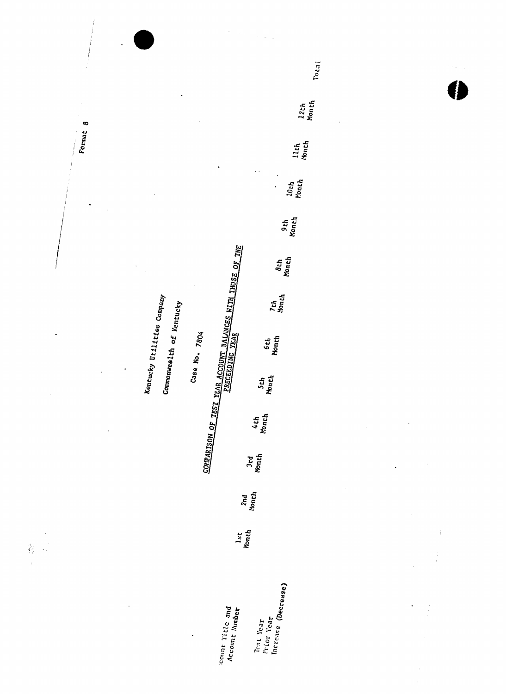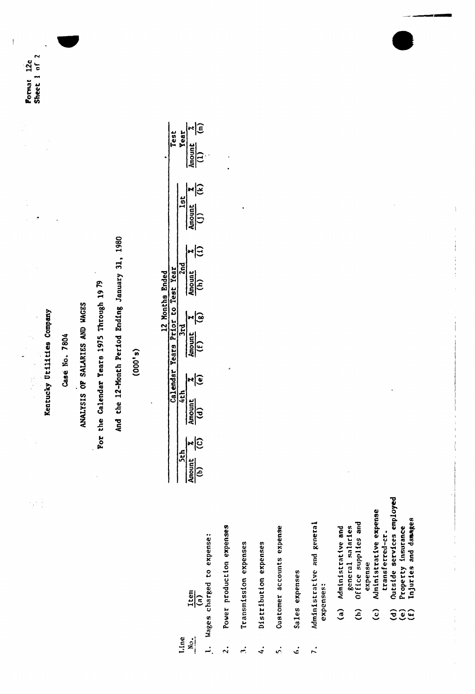Pormat 12c<br>Sheet 1 of 2

Kentucky Utilities Company

 $\frac{1}{2}$ iyi

Case No. 7804

ANALYSIS OF SALARIES AND WAGES

For the Calendar Years 1975 Through 19 79

And the 12-Month Period Ending January 31, 1980

 $(000, 8)$ 

|              |  | Test<br>Year<br>Amount X<br>(1)                         |
|--------------|--|---------------------------------------------------------|
|              |  | $\frac{\frac{1}{36}}{\frac{\text{Amount}}{\text{(i)}}}$ |
| Monthe Endec |  | Amount $\frac{z}{(1)}$                                  |
|              |  | $\frac{3rd}{(f)}$<br>$\frac{3 \text{ rad}}{(f)}$        |
|              |  | r T<br>$\frac{\sin \theta}{\cos \theta}$                |
|              |  | ৸্তি<br>Amount<br>(b)                                   |

|                       | expense: |
|-----------------------|----------|
|                       | ů        |
| Item<br>દુ            | charged  |
| <b>Jne</b><br>Ξ¦<br>- | vages    |

- Power production expenses  $\ddot{\mathbf{c}}$
- Transmission expenses  $\ddot{ }$
- Distribution expenses  $\ddot{\cdot}$
- Customer accounts expense  $\overline{\phantom{0}}$
- Sales expenses  $\ddot{\cdot}$
- Administrative and general expenses:  $\overline{z}$ .
- Administrative and general salaries  $\mathbf{a}$ 
	- Office supplies and expense  $\hat{e}$
- Administrative expense transferred-cr.  $\hat{c}$ 
	- Outside services employed
	- Property insurance<br>Injuries and damages  $\widehat{z}$  $\widehat{z}$  $\widehat{z}$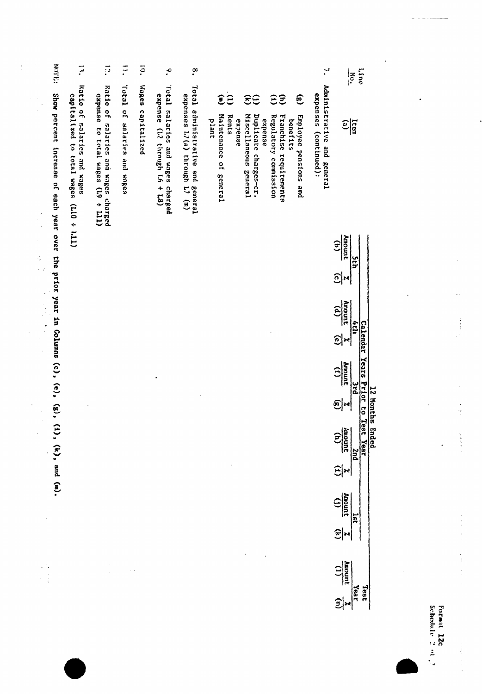| <b>EQ.LON</b>                                        | $\overline{z}$                                                                                 | $\vec{p}$                                                                                               | $\tilde{=}$                                    | $\overline{5}$    | $\cdot$                                                             | $\cdot^{\infty}$                                                               | $\mathbf{z}$<br>Line<br>।<br>¦∶                                                                                                                                                                                                                                                                                                                                                                       |
|------------------------------------------------------|------------------------------------------------------------------------------------------------|---------------------------------------------------------------------------------------------------------|------------------------------------------------|-------------------|---------------------------------------------------------------------|--------------------------------------------------------------------------------|-------------------------------------------------------------------------------------------------------------------------------------------------------------------------------------------------------------------------------------------------------------------------------------------------------------------------------------------------------------------------------------------------------|
| <b>Show</b><br>percent increase<br>of each year over | Ratio of<br>capitalized<br>salaries and wages<br>$\mathfrak S$<br>total wages<br>$(T11 * 017)$ | Ratio of<br>expense<br>salaries and wages charged<br><b>CO</b><br>total wages (19 +<br>$\overline{111}$ | Total <sup>1</sup><br>or<br>salaries and wages | Wages capitalized | Total salaries and wages<br>expense (L2 through L6 + L8)<br>charged | Tetal<br>expenses 1.7 (a) through<br>administrative and<br>$L7$ (m)<br>general | Administrative and<br>expenses (continued):<br>$\widehat{\epsilon}$<br>ΞÊ<br>$\mathbf{e}$<br>$\mathbf{\hat{e}}$<br>Miscellaneous<br>Maintenance<br>Duplicate charges-cr.<br>Franchise<br>Rents<br>Regulatory<br>Employee pensions<br>expense<br>expense<br>plant<br>benefits<br>Item<br>의<br>requirements<br>commission<br>$\frac{1}{2}$<br>genera1<br>genera1<br><b><i><u>Seneral</u></i></b><br>and |
| <b>Ehe</b><br>hrior                                  |                                                                                                |                                                                                                         |                                                |                   |                                                                     |                                                                                | Amount<br>$\widehat{E}$<br>pth<br>$\frac{1}{2}$                                                                                                                                                                                                                                                                                                                                                       |

| E    | Í             | 의 | $\in$                | 의 | ີ             | <u>କ୍ର୍</u> |                   | $\widehat{\mathbf{e}}$ |                   |                |                          |
|------|---------------|---|----------------------|---|---------------|-------------|-------------------|------------------------|-------------------|----------------|--------------------------|
|      | <b>Hanced</b> |   | <b>Amont</b><br>Home | ¢ | <b>Amount</b> |             | $\frac{(1)}{(f)}$ |                        | $\frac{(p)}{(q)}$ | <u>୍ର୍ରା</u> ଧ | $\frac{1}{\text{power}}$ |
| IFal |               |   | ŋ                    |   |               |             |                   |                        |                   |                |                          |
| 13a  |               |   |                      |   | iess          |             | ears Prio         |                        |                   |                |                          |
|      |               |   |                      |   |               |             |                   |                        |                   |                |                          |

year in Columns (c), (e), (g), (1), (k), and (m).

 $\ddot{\phantom{a}}$ 

 $\frac{d\mathcal{L}_{\text{max}}}{d\mathcal{L}_{\text{max}}^2}$ 

 $\ddot{\phantom{0}}$ 

 $\ddot{\phantom{0}}$ 

 $\frac{1}{2}$ 

 $\frac{1}{2}$ 

 $\ddot{\phantom{a}}$ 

Formit 12c<br>Schedule 2 et 2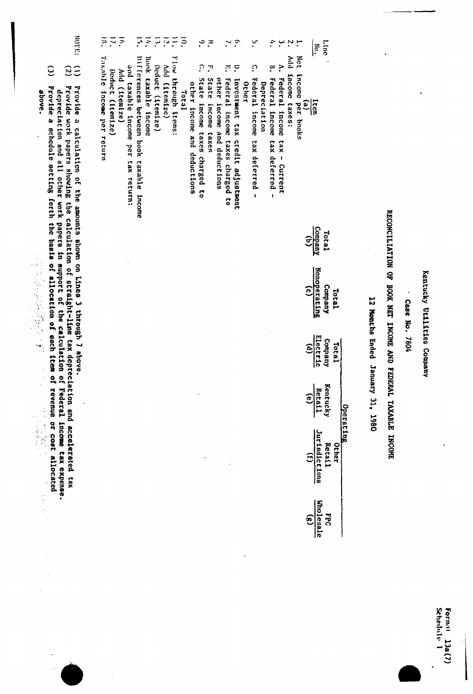| <b>EQUITE:</b><br>$\widehat{\omega}$<br>$\widetilde{c}$                                                                                                                                                                                                                                                                                                                                                                              | $\overline{5}$<br>$\overline{11}$ .<br>تَبَ<br>$\overline{5}$<br>్లా<br>$\overline{z}$<br>Ξ<br>়<br>Add (itemize)                                                                                                 | $\overline{5}$<br>٩.<br>$\mathbf{r}$<br>$\mathbf{r}$<br>ب.<br>÷.<br>∷<br>$\mathbf{v}$<br>ب<br>Mdd<br>ິ<br><u>ှ</u><br>$\geq$<br>$\mathbf{c}$<br>$\mathbb{F}$<br>$\Xi$<br>့<br>State<br>other<br>Other                                                                                                                                                            | <b>Line</b><br>H.<br>៲ <sup>ទី</sup><br>Net<br>income                                                                                                                                                                                |                                                                                                                                                      |
|--------------------------------------------------------------------------------------------------------------------------------------------------------------------------------------------------------------------------------------------------------------------------------------------------------------------------------------------------------------------------------------------------------------------------------------|-------------------------------------------------------------------------------------------------------------------------------------------------------------------------------------------------------------------|------------------------------------------------------------------------------------------------------------------------------------------------------------------------------------------------------------------------------------------------------------------------------------------------------------------------------------------------------------------|--------------------------------------------------------------------------------------------------------------------------------------------------------------------------------------------------------------------------------------|------------------------------------------------------------------------------------------------------------------------------------------------------|
| Provide<br>Provide work papers showing the calculation of straight-line tax deprecistion and accelerated tax<br>Provide<br>depreciation and all other work papers in support of the calculation<br>above.<br>d<br>a calculation of the amounts shown on Lines 3 through 7 sbove<br>schedule setting forth the basis of<br>(一) 法法律的 医神经病<br>allocation of each item<br>$\frac{1}{2}$<br>9<br>Federal<br>revenue<br>i.<br>P<br>iç<br>V | Taxable income per return<br>Differences between book taxable income<br>Flow through items:<br>Book taxable income<br>and taxable income per tax return:<br>Deduct (itemize)<br>Deduct (itemize)<br>Add (itemize) | Income taxes:<br>Federal income<br>State income taxes charged<br>Federal income<br>Federal income<br>Federal income taxes charged to<br>Investment tax credit adjustment<br>other income and deductions<br>Depreciation<br>Total<br>income and deductions<br>income<br>taxes<br>tax deferred<br>tax deferred<br>x <sub>B</sub><br>- Current<br>ິ<br>$\mathbf{I}$ | $\mathbf{e}$<br><u>Ltem</u><br>per books<br>Company<br>Total<br><u>ଟ୍ର</u><br>Nonoperating<br>Company<br>$\widehat{c}$<br>Tatal<br>Electric<br>Company<br>Total<br>$\widehat{e}$<br>Kentucky<br>Retail<br>$\widehat{e}$<br>Operating | RECONCILIATION OF BOOK NET INCOME AND F!<br>Kentucky Utilities Company<br>12 Months Ended January 31, 1980<br>Case No. 7804<br>EDERAL TAXABLE INCOME |
| or cost allocated<br>income tax expense.<br>こうかん<br>ias<br>Pil<br>k,                                                                                                                                                                                                                                                                                                                                                                 |                                                                                                                                                                                                                   |                                                                                                                                                                                                                                                                                                                                                                  | Jurisdictions<br>Retail<br>Other<br>$\widehat{\mathbf{c}}$<br>Wholesale<br><b>DEC</b><br>$\mathbf{r}$                                                                                                                                |                                                                                                                                                      |
|                                                                                                                                                                                                                                                                                                                                                                                                                                      |                                                                                                                                                                                                                   |                                                                                                                                                                                                                                                                                                                                                                  |                                                                                                                                                                                                                                      |                                                                                                                                                      |

 $\frac{1}{2}$ 

 $\frac{1}{2}$ 

ķ,

 $\frac{1}{2}$ 

 $\ddot{\phantom{0}}$ 

Formal 13a(7)<br>Schedule 1

1

.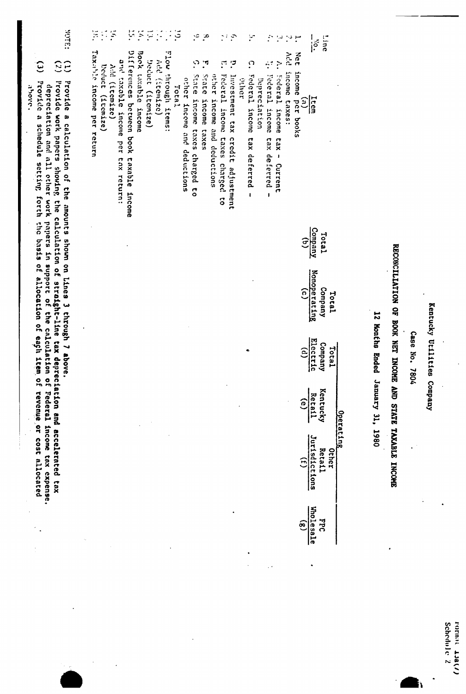|                           |              |                                                                                                                                               |                         |                                                            | Case No. 7804        |                               |                                                          |              |  |
|---------------------------|--------------|-----------------------------------------------------------------------------------------------------------------------------------------------|-------------------------|------------------------------------------------------------|----------------------|-------------------------------|----------------------------------------------------------|--------------|--|
|                           |              |                                                                                                                                               |                         | RECONCILIATION OF BOOK NET INCOME AND STATE TAXABLE INCOHE |                      |                               |                                                          |              |  |
|                           |              |                                                                                                                                               |                         |                                                            | 12 Honthe Ended      | January 31, 1980              |                                                          |              |  |
|                           |              |                                                                                                                                               |                         |                                                            |                      |                               |                                                          |              |  |
|                           |              |                                                                                                                                               |                         |                                                            |                      | Operating                     |                                                          |              |  |
| Line                      |              |                                                                                                                                               | Total                   | Company<br>Total                                           | Company<br>Total     | Kentucky                      | Retail<br>Other                                          | <b>Ddd</b>   |  |
| $\overline{\mathfrak{s}}$ |              | Item                                                                                                                                          | Company                 | Nonoperating                                               | Electric             | Retail                        | Jurisdictions                                            | Wholesale    |  |
|                           | Net          | income<br>$\widetilde{\epsilon}$<br>per books                                                                                                 | $\widehat{\mathcal{Z}}$ | $\widehat{c}$                                              | $\widehat{\epsilon}$ | ව                             | $\widehat{E}$                                            | $\mathbf{e}$ |  |
| ं                         | <b>Add</b>   | income taxes:                                                                                                                                 |                         |                                                            |                      |                               |                                                          |              |  |
| ند!<br>م                  | ř            | Federal income<br>$28x -$<br>Current                                                                                                          |                         |                                                            |                      |                               |                                                          |              |  |
| ÷.                        | ÷,           | Federal income<br>tax deferred -                                                                                                              |                         |                                                            |                      |                               |                                                          |              |  |
| Y                         | ္            | Federal income<br>Depreciation<br>tax deferred<br>$\mathbf{I}$                                                                                |                         |                                                            |                      |                               |                                                          |              |  |
|                           |              | aayaa                                                                                                                                         |                         |                                                            |                      |                               |                                                          |              |  |
| $\sim$ $\sigma$           | ာ            | Investment tax credit adjustment                                                                                                              |                         |                                                            |                      |                               |                                                          |              |  |
|                           | $\Gamma$     | Federal income taxes charged<br>3                                                                                                             |                         |                                                            |                      |                               |                                                          |              |  |
|                           |              | other income and deductions                                                                                                                   |                         |                                                            |                      |                               |                                                          |              |  |
| ઼                         | <u>়</u> ন   | State<br>income<br>caxes                                                                                                                      |                         |                                                            |                      |                               |                                                          |              |  |
| $\cdot$                   | <u>ر،</u>    | State income taxes charged to<br>other income and deductions                                                                                  |                         |                                                            |                      |                               |                                                          |              |  |
| ઼ઽં                       |              | Total                                                                                                                                         |                         |                                                            |                      |                               |                                                          |              |  |
| $\ddot{\phantom{0}}$      |              | Flow through items:                                                                                                                           |                         |                                                            |                      |                               |                                                          |              |  |
|                           |              | Add (itemize)                                                                                                                                 |                         |                                                            |                      |                               |                                                          |              |  |
| Ξ                         |              | Decuct (itemize)                                                                                                                              |                         |                                                            |                      |                               |                                                          |              |  |
| $\zeta$                   |              | Book taxable income                                                                                                                           |                         |                                                            |                      |                               |                                                          |              |  |
| ÿ                         |              | Differences between book taxable income                                                                                                       |                         |                                                            |                      |                               |                                                          |              |  |
|                           |              | and taxable income per tax return:                                                                                                            |                         |                                                            |                      |                               |                                                          |              |  |
| $\tilde{\mathcal{F}}$     |              | Add (itemize)                                                                                                                                 |                         |                                                            |                      |                               |                                                          |              |  |
| $\frac{1}{2}$             |              | Deduct (itemize)                                                                                                                              |                         |                                                            |                      |                               |                                                          |              |  |
| $\frac{1}{2}$             |              | Taxable income per return                                                                                                                     |                         |                                                            |                      |                               |                                                          |              |  |
| <b>SALGK</b>              | 39           | Provide<br>a calculation of the amounts shown on Lines 3 through 7 above.                                                                     |                         |                                                            |                      |                               |                                                          |              |  |
|                           |              | Provide work papers shouing the calculation of straight-line                                                                                  |                         |                                                            |                      |                               | tax depreciation and accelerated tax                     |              |  |
|                           | $\mathbf{c}$ | Provide a schedule setting forth the basis of allocation of eagh item<br>depreciation and all cther work papers in support of the calculation |                         |                                                            |                      | $\mathbf{a}$<br>$\frac{0}{2}$ | Federal income tax expense.<br>revenue or cost allocated |              |  |
|                           |              | <b>BOUC</b> .                                                                                                                                 |                         |                                                            |                      |                               |                                                          |              |  |

 $\ddot{\phantom{0}}$ 

Kentucky Utilities Company

 $\ddot{\cdot}$ 

 $\ddot{\phantom{0}}$ 

rormat 13a(/)<br>Schedule 2

À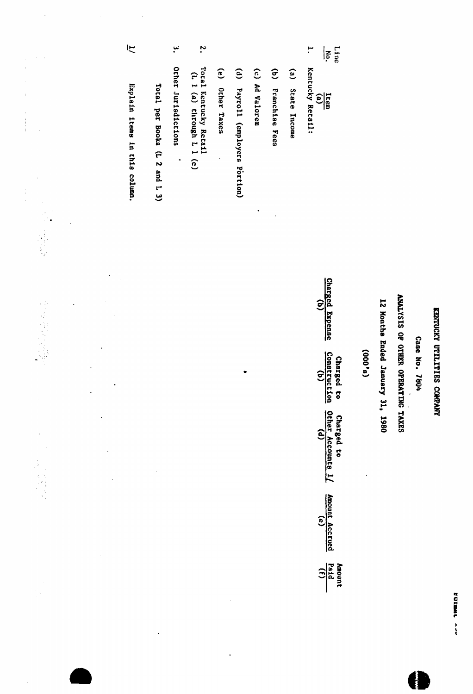|                      | に<br>Explain items in this column. | Total per Books (L 2 and L 3) | نىإ<br>Other Jurisdictions<br>$\ddot{\phantom{0}}$ | $\ddot{\cdot}$<br>Total Kentucky Retail<br>(L 1 (a) through L 1 (e) | (e) Other Taxes | $\mathbf{e}$<br>Payroll (employers Portion) | (c) Ad Valorem<br>$\bullet$ | $\widehat{e}$<br>Franchiae Fees | $\binom{e}{b}$<br>State Income | ۳.<br>Line<br>ķ<br>Kentucky Retail:<br>$\frac{1}{(a)}$                                                                                                                             |         |                                  |                                             |                  |  |
|----------------------|------------------------------------|-------------------------------|----------------------------------------------------|---------------------------------------------------------------------|-----------------|---------------------------------------------|-----------------------------|---------------------------------|--------------------------------|------------------------------------------------------------------------------------------------------------------------------------------------------------------------------------|---------|----------------------------------|---------------------------------------------|------------------|--|
| $\ddot{\phantom{a}}$ |                                    |                               |                                                    |                                                                     |                 |                                             |                             |                                 |                                | Charged Expense<br>$\widehat{\mathbf{c}}$<br>Construction<br>Charged to<br>Other Accounts 1/<br>Charged to<br>Amount Accrued<br>$\epsilon$<br>$\frac{\text{Amount}}{\text{total}}$ | (9,000) | 12 Honths Ended January 31, 1980 | ANALYSIS OF OTHER<br><b>DPERATING TAXES</b> | Case No.<br>7804 |  |

 $\ddot{\phantom{0}}$ 

 $\label{eq:2.1} \left\langle \mathbf{r}^{\dagger}_{\mathbf{r}}\right\rangle =\left\langle \mathbf{r}^{\dagger}_{\mathbf{r}}\right\rangle =\left\langle \mathbf{r}^{\dagger}_{\mathbf{r}}\right\rangle =\left\langle \mathbf{r}^{\dagger}_{\mathbf{r}}\right\rangle =\left\langle \mathbf{r}^{\dagger}_{\mathbf{r}}\right\rangle =\left\langle \mathbf{r}^{\dagger}_{\mathbf{r}}\right\rangle =\left\langle \mathbf{r}^{\dagger}_{\mathbf{r}}\right\rangle$ 

 $\frac{1}{4}$ 

 $\begin{array}{c} 1 \\ 1 \\ 2 \\ 3 \\ 4 \\ 1 \\ 1 \\ \end{array}$ 

FOREST AVY

KENTUCKY UTILITIES COAPANY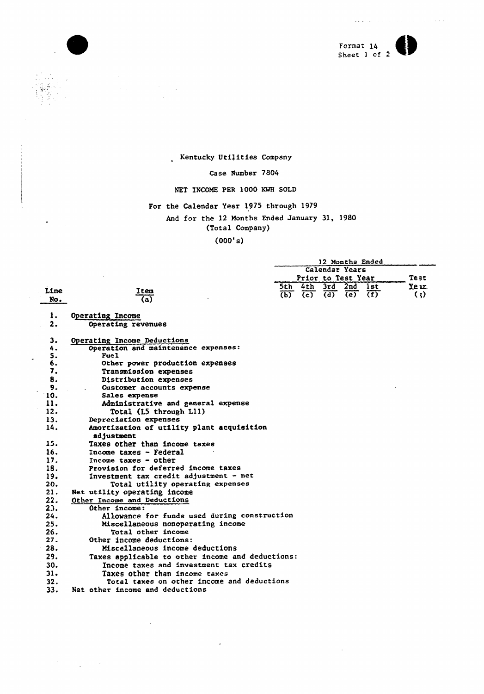

 $\sim$   $\sim$ 

 $\sim 10^{11}$  and  $\sim 10^{11}$ 

Kentucky Utilities Company

### Case Number 7804

### NET INCOME PER 1000 KMH SOLD

## For the Calendar Year 1975 through 1979

And for the 12 Months Ended January 31, 1980

### (Total Company)

(000's)

|      |                                                  |                           |                  |                  | 12 Months Ended    |            |                     |
|------|--------------------------------------------------|---------------------------|------------------|------------------|--------------------|------------|---------------------|
|      |                                                  |                           |                  |                  | Calendar Years     |            |                     |
|      |                                                  |                           |                  |                  | Prior to Test Year |            | Test                |
|      |                                                  | 5th -                     | 4th              | 3rd              | 2nd                | <b>lst</b> | Ye ar               |
| Line | Item                                             | $\overline{(\mathbf{p})}$ | $\overline{(c)}$ | $\overline{(d)}$ | $\overline{e}$     | (f)        | $\langle \ \rangle$ |
| No.  | $\overline{a)}$                                  |                           |                  |                  |                    |            |                     |
| 1.   | Operating Income                                 |                           |                  |                  |                    |            |                     |
| 2.   | Operating revenues                               |                           |                  |                  |                    |            |                     |
| 3.   | Operating Income Deductions                      |                           |                  |                  |                    |            |                     |
| 4.   | Operation and maintenance expenses:              |                           |                  |                  |                    |            |                     |
| S.   | Fuel                                             |                           |                  |                  |                    |            |                     |
| 6.   | Other power production expenses                  |                           |                  |                  |                    |            |                     |
| 7.   | Transmission expenses                            |                           |                  |                  |                    |            |                     |
| 8.   | Distribution expenses                            |                           |                  |                  |                    |            |                     |
| 9.   | Customer accounts expense                        |                           |                  |                  |                    |            |                     |
| 10.  | Sales expense                                    |                           |                  |                  |                    |            |                     |
| 11.  | Administrative and general expense               |                           |                  |                  |                    |            |                     |
| 12.  | Total (L5 through L11)                           |                           |                  |                  |                    |            |                     |
| 13.  | Depreciation expenses                            |                           |                  |                  |                    |            |                     |
| 14.  | Amortization of utility plant acquisition        |                           |                  |                  |                    |            |                     |
|      | adjustment                                       |                           |                  |                  |                    |            |                     |
| 15.  | Taxes other than income taxes                    |                           |                  |                  |                    |            |                     |
| 16.  | Income taxes - Federal                           |                           |                  |                  |                    |            |                     |
| 17.  | Income taxes $-$ other                           |                           |                  |                  |                    |            |                     |
| 18.  | Provision for deferred income taxes              |                           |                  |                  |                    |            |                     |
| 19.  | Investment tax credit adjustment - net           |                           |                  |                  |                    |            |                     |
| 20.  | Total utility operating expenses                 |                           |                  |                  |                    |            |                     |
| 21.  | Net utility operating income                     |                           |                  |                  |                    |            |                     |
| 22.  | Other Income and Deductions                      |                           |                  |                  |                    |            |                     |
| 23.  | Other income:                                    |                           |                  |                  |                    |            |                     |
| 24.  | Allowance for funds used during construction     |                           |                  |                  |                    |            |                     |
| 25.  | Miscellaneous nonoperating income                |                           |                  |                  |                    |            |                     |
| 26.  | Total other income                               |                           |                  |                  |                    |            |                     |
| 27.  | Other income deductions:                         |                           |                  |                  |                    |            |                     |
| 28.  | Miscellaneous income deductions                  |                           |                  |                  |                    |            |                     |
| 29.  | Taxes applicable to other income and deductions: |                           |                  |                  |                    |            |                     |
| 30.  | Income taxes and investment tax credits          |                           |                  |                  |                    |            |                     |
| 31.  | Taxes other than income taxes                    |                           |                  |                  |                    |            |                     |
| 32.  | Total taxes on other income and deductions       |                           |                  |                  |                    |            |                     |
| 33.  | Net other income and deductions                  |                           |                  |                  |                    |            |                     |
|      |                                                  |                           |                  |                  |                    |            |                     |

 $\overline{\phantom{a}}$ 

 $\mathcal{L}_{\mathcal{A}}$ 

 $\overline{a}$ 

 $\label{eq:2.1} \frac{d\mathbf{r}}{dt} = \frac{1}{2} \sum_{i=1}^n \frac{d\mathbf{r}}{dt} \mathbf{r}_i \mathbf{r}_i \mathbf{r}_i$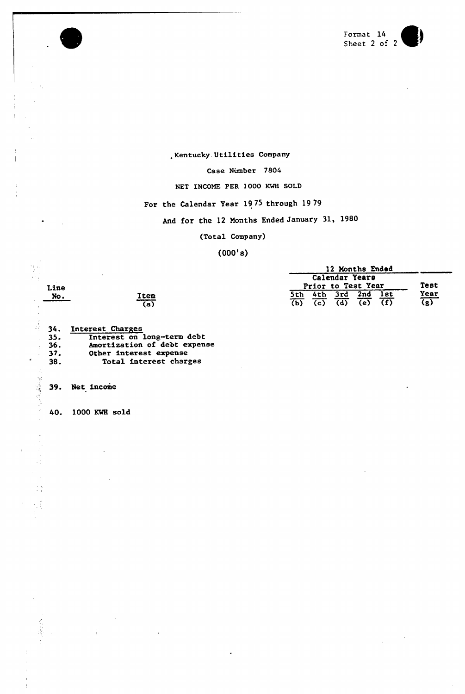

.Kentucky. Utilities Company

Case Number 7804

NET INCOME PER 1000 KMH SOLD

For the Calendar Year 1975 through 1979

And for the 12 Months Ended January 31, 1980

(Total Company)

(000'a)

|  |  |  |                |  |     | 12 Months Ended    |  |     |                           |
|--|--|--|----------------|--|-----|--------------------|--|-----|---------------------------|
|  |  |  |                |  |     | Calendar Years     |  |     |                           |
|  |  |  |                |  |     | Prior to Test Year |  |     | Test                      |
|  |  |  | 3rd            |  | 2nd |                    |  | lst | Year                      |
|  |  |  | $\overline{d}$ |  | (e) |                    |  | (f) | $\overline{(\mathbf{g})}$ |

詩 34. Interest Charge 35. Interest on long-term debt 35. Interest on long-term debt<br>36. Amortization of debt expense<br>37. Other interest expense 37. Other interest expense<br>38. Total interest charge Total interest charges

(a)

No. Item

39. Net income

Line<br>No.

l.

一、 一、 一、 一、 一、 一、 一、 一、 一

40. 1000 KWH sold

Ę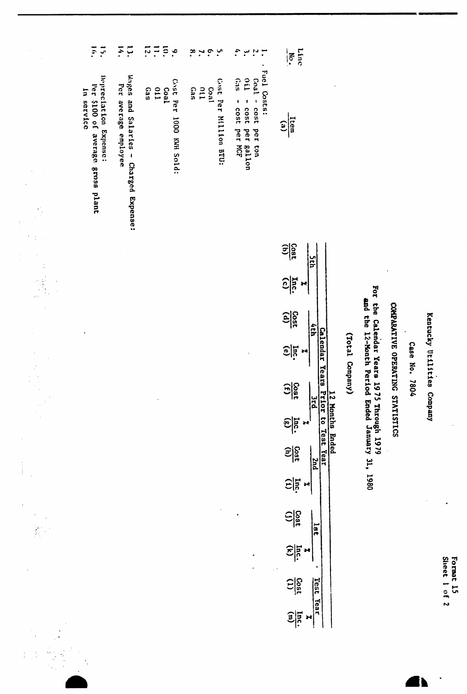| ă<br>è<br>ò.<br>O,<br>r۱ | - 3<br>O.<br>g<br>m |
|--------------------------|---------------------|
|                          |                     |
| m                        |                     |
|                          |                     |

## Kentucky Utilities Company

Case No. 7804

# COMPARATIVE OPERATING STATISTICS

For the Calendar Years 1975 Through 1979<br>and the 12-Month Period Ended January 31, 1980

(Total Company)

| è.<br>ِب.                                   | $\ddot{\cdot}$<br>۰.                                                                | Linc<br>Mo.                                                         |
|---------------------------------------------|-------------------------------------------------------------------------------------|---------------------------------------------------------------------|
| Cost Per Million BTU:<br>Coal<br>011<br>Gas | . Fuel Costs:<br>Coal - cost per ton<br>0il - cost per gallon<br>Gas - cost per NCF | $\frac{1}{\tan(3)}$                                                 |
|                                             |                                                                                     | $\frac{\frac{\cos t}{\cos t}}{\frac{\cos t}{\cos t}}$<br><b>Sth</b> |
|                                             |                                                                                     | ٣ļ                                                                  |
|                                             |                                                                                     | $\frac{1}{25}$<br>hth                                               |
|                                             | 1                                                                                   | Calendar Years<br>$\frac{1}{2}$                                     |
|                                             |                                                                                     | $rac{1}{\sqrt{15}}$<br>ں<br>م                                       |
|                                             |                                                                                     | Prior to Test Year<br>12 Months Ended<br>$\frac{1}{2}$              |
|                                             |                                                                                     | $rac{1}{\sqrt{150}}$<br>puz                                         |
|                                             |                                                                                     | Eliz                                                                |
|                                             |                                                                                     | $rac{1}{\sqrt{150}}$<br>18t                                         |
|                                             |                                                                                     | $rac{ln 1}{2}$                                                      |
|                                             |                                                                                     | $\frac{\text{clos}}{\text{clos}}$<br>Test Year                      |
|                                             |                                                                                     | $\frac{\sin 1}{\sin 1}$                                             |

 $\frac{1}{2}$  $\frac{1}{4}$  $\frac{1}{2}$ Cost Per 1000 KWH Sold:<br>Coal<br>011<br>Gas Wages and Salaries - Charged Expense:<br>Per average employee

 $15.4$ 

Depreciation Expense:<br>Per \$100 of average gross plant

In service

 $\frac{1}{\sqrt{2}}$ 

Î,

 $\begin{array}{c} 1 \\ 1 \\ 1 \end{array}$ 

 $\ddot{\phantom{a}}$ 

 $\frac{1}{2}$  $\frac{1}{1}$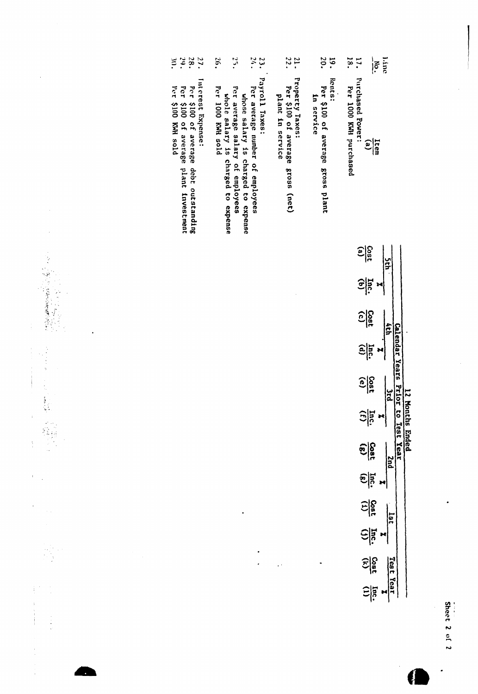| Per 1000 KWH purchased | $\frac{\text{Item}}{\text{(a)}}$ | ur<br>F               |               | q14                            | Calendar Years Prior | بر<br>2                 | ion<br>B<br>$\frac{1}{2}$ $\frac{1}{2}$ $\frac{1}{2}$ | to Test Year<br>nded<br>puz |               | 181          |               | $\frac{366}{250}$<br>Test Yeal | $\frac{1}{2}$ |
|------------------------|----------------------------------|-----------------------|---------------|--------------------------------|----------------------|-------------------------|-------------------------------------------------------|-----------------------------|---------------|--------------|---------------|--------------------------------|---------------|
|                        | <b>Purchased Power:</b>          | $rac{\cos t}{\sin t}$ | $rac{lnc}{c}$ | $\frac{\text{Cost}}{\text{C}}$ | $\widehat{e}$ in     | $\frac{\cos t}{\cos t}$ |                                                       | $rac{25}{(g)}$              | $\frac{1}{2}$ | Sign<br>Sign | $\frac{1}{2}$ |                                |               |

19. Per \$100 of average gross plant<br>In service

17.

line<br>No.

- 
- $\frac{21}{22}$ . Property Taxes:<br>Per \$100 of average gross (net) plant in service
- 23. Payroll Taxes:
- $24.$

 $\ddot{\phantom{0}}$  $\cdot$ 

 $\ddot{\phantom{1}}$ 

- $25.$ Per average number of employees<br>whose salary is charged to expense<br>Per average salary of employees<br>whole salary is charged to expense<br>per 1000 KWH sold
- 26.
- Interest Expense:
- 
- Per \$100 of average debt outstanding<br>Fer \$100 of average plant investment<br>Per \$100 KMH sold
- 2823
- 
- 
- 
- 
- 
- 
- 
- 
- 
- 

 $\bar{\gamma}$ 

 $\overline{\phantom{a}}$ 

 $\begin{array}{c} 1 \\ 1 \\ 2 \end{array}$ 

 $\frac{1}{3}$ 

 $\bar{t}$ 

 $\overline{1}$ 

ł

 $\frac{1}{2} \left( \frac{1}{2} \right) \left( \frac{1}{2} \right)$ 

Í

Ĵ,

- 
- 
-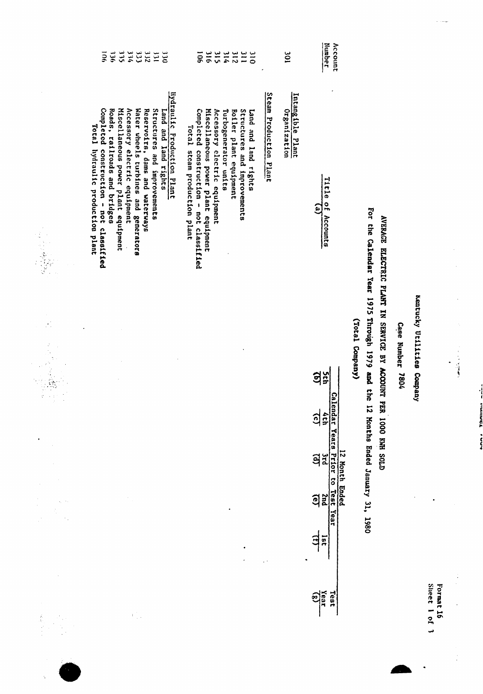|                  | 315<br>刘<br>983<br>$\frac{3}{2}$<br>332<br>ξ<br>$rac{1}{20}$<br>ii                                                                                                                                                                                                                                                                                  | 315<br><b>901</b><br>316<br>214<br>$\frac{1}{2}$<br>$rac{1}{2}$<br><b>312</b>                                                                                                                                                                                  |                        | $\overline{5}$                   | Number<br>Account                                        |                 |                                                                                                                                                    |                            |                               |                                                  |  |
|------------------|-----------------------------------------------------------------------------------------------------------------------------------------------------------------------------------------------------------------------------------------------------------------------------------------------------------------------------------------------------|----------------------------------------------------------------------------------------------------------------------------------------------------------------------------------------------------------------------------------------------------------------|------------------------|----------------------------------|----------------------------------------------------------|-----------------|----------------------------------------------------------------------------------------------------------------------------------------------------|----------------------------|-------------------------------|--------------------------------------------------|--|
|                  | liydraulic Production Plant<br>Completed construction - not classified<br>Miscellaneous power plant equipment<br>Accessory electric equipment<br>Water wheels turbines and generators<br>Structures and improvements<br>Roads, railroads and bridges<br>Reservoirs, dams and waterways<br>Land and land rights<br>Total liydraulic production plant | Completed construction - not classified<br>Miscellaneous power plant equipment<br>Accessory electric equipment<br>Turbogenerator units<br><b>Boiler</b> plant equipment<br>Structures and improvements<br>Land and land rights<br>Total steam production plant | Steam Production Plant | Intangible Plant<br>Organization | Title<br>$\frac{1}{2}$<br>فع<br>Accounts                 |                 |                                                                                                                                                    |                            |                               |                                                  |  |
| ý                |                                                                                                                                                                                                                                                                                                                                                     |                                                                                                                                                                                                                                                                |                        |                                  | <b>Sth</b>                                               | (Yotal Company) | For the Calendar Year 1975 Through 1979 and the 12 Honths Ended January 31, 1980<br>AVERAGE ELECTRIC PLANT IN SERVICE BY ACCOUNT PER 1000 KWH SOLD | <b>Case Number</b><br>7804 | Kentucky Utilities<br>Company |                                                  |  |
|                  |                                                                                                                                                                                                                                                                                                                                                     |                                                                                                                                                                                                                                                                |                        |                                  | <b><i><u>Calendar</u></i></b><br>$\overline{a}$<br>dch   |                 |                                                                                                                                                    |                            |                               |                                                  |  |
|                  |                                                                                                                                                                                                                                                                                                                                                     |                                                                                                                                                                                                                                                                |                        |                                  | 12 Month Ended<br>Years Prior to Test<br><b>Ard</b><br>g |                 |                                                                                                                                                    |                            |                               |                                                  |  |
| $\gamma_{\rm c}$ |                                                                                                                                                                                                                                                                                                                                                     |                                                                                                                                                                                                                                                                |                        |                                  | Snd<br>g                                                 |                 |                                                                                                                                                    |                            |                               |                                                  |  |
|                  |                                                                                                                                                                                                                                                                                                                                                     |                                                                                                                                                                                                                                                                |                        |                                  | Year<br>$\mathbf{\Xi}$<br>181                            |                 |                                                                                                                                                    |                            |                               |                                                  |  |
| Â,               | $\ddot{\phantom{a}}$                                                                                                                                                                                                                                                                                                                                |                                                                                                                                                                                                                                                                |                        |                                  | $\frac{1}{\sqrt{3}}$<br>Test                             |                 |                                                                                                                                                    |                            |                               | <b>Sheet</b><br>Format 16<br>$\frac{10}{2}$<br>س |  |

 $\frac{1}{3}$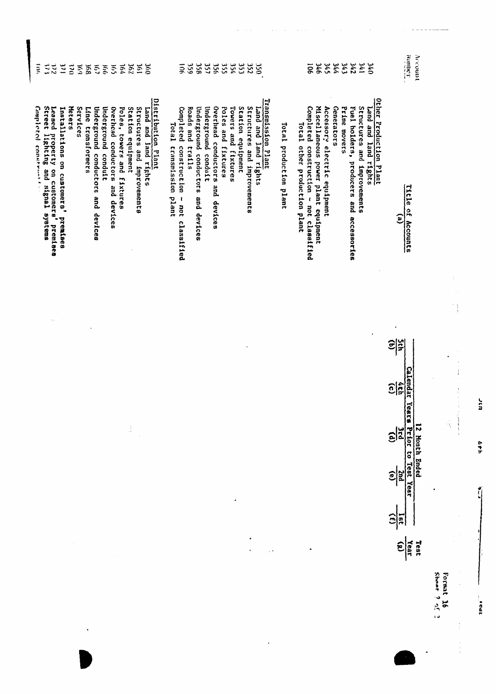| $\frac{3}{2}$<br>$\frac{2}{3}$<br>$\tilde{\mathbf{z}}$<br>295<br>$\frac{260}{2}$<br>59%<br>$\tilde{5}$<br>891<br>$\tilde{c}$<br>$\frac{1}{2}$<br>196<br>ξ<br>$\zeta$                                                                                                                                                                                                                                                                                                      | 356<br>357<br>354<br>359<br>356<br>355<br>353<br>252<br>Į<br><b>OSU</b>                                                                                                                                                                                                                                                                                                                       | 143<br><b>106</b><br><b>346</b><br>345<br><b>A44</b><br>242<br>195<br>$rac{1}{2}$                                                                                                                                                                                                                        | тайшин<br>Account                                                        |
|---------------------------------------------------------------------------------------------------------------------------------------------------------------------------------------------------------------------------------------------------------------------------------------------------------------------------------------------------------------------------------------------------------------------------------------------------------------------------|-----------------------------------------------------------------------------------------------------------------------------------------------------------------------------------------------------------------------------------------------------------------------------------------------------------------------------------------------------------------------------------------------|----------------------------------------------------------------------------------------------------------------------------------------------------------------------------------------------------------------------------------------------------------------------------------------------------------|--------------------------------------------------------------------------|
| Distribution Plant<br>Completed const<br>Leased property<br>Street lighting<br>Meters<br>Services<br>Underground conductors and devices<br>Underground conduit<br>Overhead conductors<br>Poles, towers and fixtures<br>Station equipment<br>Structures and improvements<br>Installations on customers'<br>Line<br>Land and Jand rights<br>transformers<br>$\frac{1}{2}$<br>n customers' premises<br>on customers' premis<br>and signal systems<br>and devices<br>premises | Transmission Plant<br>Overhead conductors and devices<br>Underground conduit<br>Poles and fixtures<br>Towers and fixtures<br>Station equipment<br>Structures and improvements<br>Roads and<br>Underground conductors and devices<br>Land and land rights<br>Completed<br>Total transmission<br>Total production plant<br>construction<br>trails<br>plant<br>$\mathbf{I}$<br>not<br>classified | Other Production Plant<br>Miscellaneous power plant equipment<br>Generators<br>Structures and improvements<br>Completed construction - not classified<br>Accessory electric equipment<br>Prime movers<br>Land and land rights<br>Fuel holders, producers and accessories<br>Total other production plant | Title<br>$\frac{1}{2}$<br>$\mathbf{e}$<br>Accounts<br>t,                 |
| $\mathcal{C}_{\mathbf{a}}$ .                                                                                                                                                                                                                                                                                                                                                                                                                                              |                                                                                                                                                                                                                                                                                                                                                                                               |                                                                                                                                                                                                                                                                                                          | Ĵ,<br>$\frac{1}{2}$<br>Ξ                                                 |
|                                                                                                                                                                                                                                                                                                                                                                                                                                                                           |                                                                                                                                                                                                                                                                                                                                                                                               |                                                                                                                                                                                                                                                                                                          | $\boldsymbol{\Omega}$<br>$\frac{\frac{1}{\epsilon}}{\frac{1}{\epsilon}}$ |
| Ã<br>$\sim$                                                                                                                                                                                                                                                                                                                                                                                                                                                               |                                                                                                                                                                                                                                                                                                                                                                                               |                                                                                                                                                                                                                                                                                                          | 12 Month Ended<br>Years Prior to Test Year<br>٠ę<br>$\frac{1}{2}$        |
|                                                                                                                                                                                                                                                                                                                                                                                                                                                                           | ٠                                                                                                                                                                                                                                                                                                                                                                                             |                                                                                                                                                                                                                                                                                                          | <b>Znd</b><br>$\widehat{e}$                                              |
|                                                                                                                                                                                                                                                                                                                                                                                                                                                                           |                                                                                                                                                                                                                                                                                                                                                                                               |                                                                                                                                                                                                                                                                                                          | $\hat{e}$<br>$rac{5}{2}$                                                 |
|                                                                                                                                                                                                                                                                                                                                                                                                                                                                           |                                                                                                                                                                                                                                                                                                                                                                                               |                                                                                                                                                                                                                                                                                                          | Year<br>(g)<br>Test                                                      |
|                                                                                                                                                                                                                                                                                                                                                                                                                                                                           |                                                                                                                                                                                                                                                                                                                                                                                               |                                                                                                                                                                                                                                                                                                          | Shoat<br>Format<br>ن عالا ج<br>$\tilde{a}$                               |

 $\overline{\phantom{a}}$ 

ur

 $\Delta + h$ 

Ú

TPat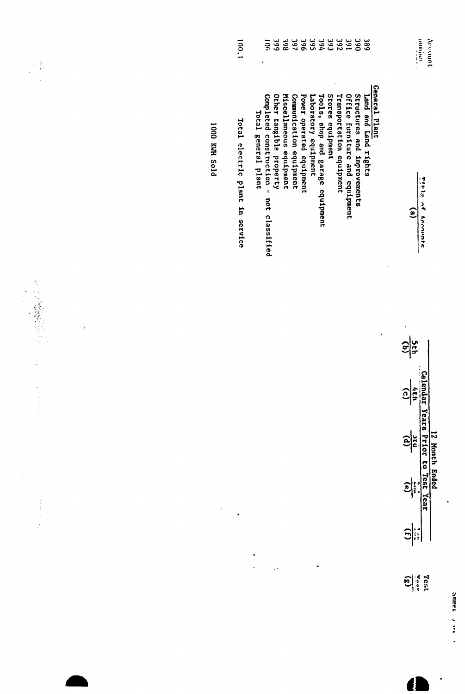| ż<br>$\mathcal{I}$                       |                      | 1.00.1                          | 999<br>197<br>396<br><b>395</b><br>760<br>593<br>392<br>160<br><b>390</b><br>50 <sub>0</sub><br>861.<br>389                                                                                                                                                                                                                                                                                          | <b>Tartum</b><br>Account                                                                                                                                |
|------------------------------------------|----------------------|---------------------------------|------------------------------------------------------------------------------------------------------------------------------------------------------------------------------------------------------------------------------------------------------------------------------------------------------------------------------------------------------------------------------------------------------|---------------------------------------------------------------------------------------------------------------------------------------------------------|
| ¢                                        | <b>PIOS HMX 0001</b> | Total electric plant in service | General Plant<br>Miscellaneous equipment<br>Other tangible property<br>Laboratory equipment<br>Stores equipment<br>Transportation equipment<br>Office furniture and equipment<br>Tools, shop and garage equipment<br>Structures and improvements<br>Completed construction -<br>Communication equipment<br>Power operated equipment<br>Land and Land rights<br>Total general plant<br>not classified | $\frac{1}{2}$<br>$\frac{2}{3}$<br>$\epsilon$<br>Accounts                                                                                                |
| $\epsilon$<br>$\frac{1}{2}$              |                      |                                 | $\cdot$                                                                                                                                                                                                                                                                                                                                                                                              | 의질<br>의                                                                                                                                                 |
| $\frac{1}{2}$<br>$\hat{\phi}_{\rm{max}}$ | $\cdot$              | $\ddot{\phantom{0}}$            |                                                                                                                                                                                                                                                                                                                                                                                                      | 12 Mondar Years Prior to Test Year<br>$\frac{2}{5}$<br>$\begin{array}{c} \begin{array}{c} \mathbf{0} \\ \mathbf{0} \end{array} \end{array}$<br><b>B</b> |
|                                          |                      |                                 | ٠<br>$\ddot{\phantom{1}}$ .                                                                                                                                                                                                                                                                                                                                                                          | $\frac{\cos t}{\cos t}$                                                                                                                                 |

 $\ddot{\phantom{0}}$ 

1   $\ddot{\phantom{0}}$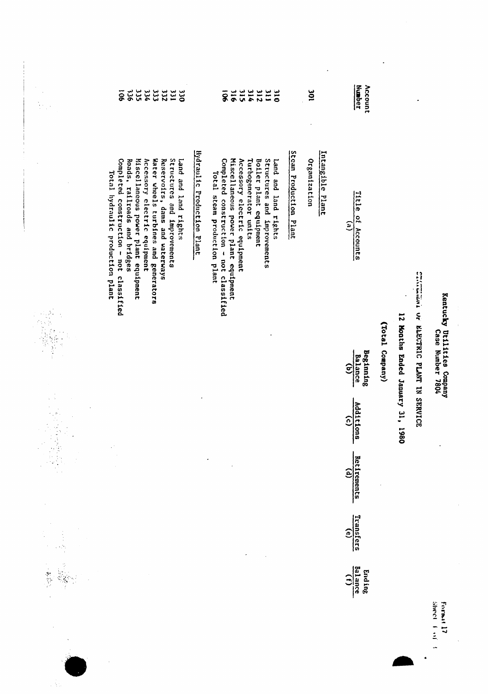| in.<br>T                                                                                                                                                          | 335<br><b>222</b><br>$\overline{9}$<br>333<br>331<br>724<br>$rac{1}{2}$                                                                                                                                                                                                                                            |                                   | 315<br>214<br>916<br><b>212</b><br>$\overline{\mathbf{11}}$<br>$\overline{8}$<br>$\frac{1}{2}$                                                                                                                                                          |                        | 301                              | <b>Number</b><br>Account                                     |                 |                         |                                      |                                                |
|-------------------------------------------------------------------------------------------------------------------------------------------------------------------|--------------------------------------------------------------------------------------------------------------------------------------------------------------------------------------------------------------------------------------------------------------------------------------------------------------------|-----------------------------------|---------------------------------------------------------------------------------------------------------------------------------------------------------------------------------------------------------------------------------------------------------|------------------------|----------------------------------|--------------------------------------------------------------|-----------------|-------------------------|--------------------------------------|------------------------------------------------|
|                                                                                                                                                                   | Mscellaneous power plant equipment<br>Water wheels turbines and generators<br>Reservoirs, dams and waterways<br>Structures and improvements<br>Completed construction - not classified<br>Roads, railroads and bridges<br>Accessory electric equipment<br>Land and land rights<br>Total hydraulic production plant | <b>Hydraulic Production Plant</b> | Miscellaneous power plant equipment<br>Completed construction - not classified<br>Turbogenerator units<br>Boiler plant equipment<br>Structures and improvements<br>Accessory electric equipment<br>Land and land rights<br>Total steam production plant | Steam Production Plant | Intangible Plant<br>Organization | Title of Accounts<br>$\mathbf{r}$                            |                 |                         |                                      |                                                |
|                                                                                                                                                                   |                                                                                                                                                                                                                                                                                                                    |                                   |                                                                                                                                                                                                                                                         |                        |                                  | <b>Beginning</b><br><b>Balance</b><br>$\widehat{\mathbf{e}}$ | (Total Company) | 12 Months Ended January | CLUMBER OF REGISTER FLANT IN SERVICE | Kentucky Utilities Company<br>Case Number 7804 |
| $\gamma_{\rm s}$<br>$\mathbf{u}$<br>$\begin{array}{l} \mathcal{F}_{\mathcal{A}}(\mathcal{B}_{\mathcal{A}}) \\ \mathcal{F}_{\mathcal{A}} \end{array}$<br>$\bar{ }$ |                                                                                                                                                                                                                                                                                                                    |                                   |                                                                                                                                                                                                                                                         |                        |                                  | Additions<br>$\widehat{c}$                                   |                 | 31, 1980                |                                      |                                                |
| Ĵ.                                                                                                                                                                |                                                                                                                                                                                                                                                                                                                    |                                   | $\bullet$                                                                                                                                                                                                                                               |                        |                                  | <b>Retirements</b><br>$\mathbf{r}$                           |                 |                         |                                      |                                                |
|                                                                                                                                                                   |                                                                                                                                                                                                                                                                                                                    |                                   |                                                                                                                                                                                                                                                         |                        |                                  | Transfers<br>$\widehat{e}$                                   |                 |                         |                                      |                                                |
|                                                                                                                                                                   |                                                                                                                                                                                                                                                                                                                    |                                   |                                                                                                                                                                                                                                                         |                        |                                  | <b>Balance</b><br>Ending<br>$\hat{c}$                        |                 |                         |                                      |                                                |
|                                                                                                                                                                   |                                                                                                                                                                                                                                                                                                                    |                                   |                                                                                                                                                                                                                                                         |                        |                                  |                                                              |                 |                         |                                      | <b>Sheet</b><br>Format 17<br>÷<br>$\ddot{=}$   |

 $\begin{array}{c}\n\downarrow \\
\downarrow \\
\downarrow\n\end{array}$ 

 $\frac{1}{2} \sum_{i=1}^{n} \frac{1}{2} \sum_{j=1}^{n} \frac{1}{2} \sum_{j=1}^{n} \frac{1}{2} \sum_{j=1}^{n} \frac{1}{2} \sum_{j=1}^{n} \frac{1}{2} \sum_{j=1}^{n} \frac{1}{2} \sum_{j=1}^{n} \frac{1}{2} \sum_{j=1}^{n} \frac{1}{2} \sum_{j=1}^{n} \frac{1}{2} \sum_{j=1}^{n} \frac{1}{2} \sum_{j=1}^{n} \frac{1}{2} \sum_{j=1}^{n} \frac{1}{2} \sum_{j=1}^{n$ 

 $\ddot{\cdot}$ 

 $\frac{1}{2}$ 

 $\ddot{\phantom{a}}$ 

.

 $\ddot{\cdot}$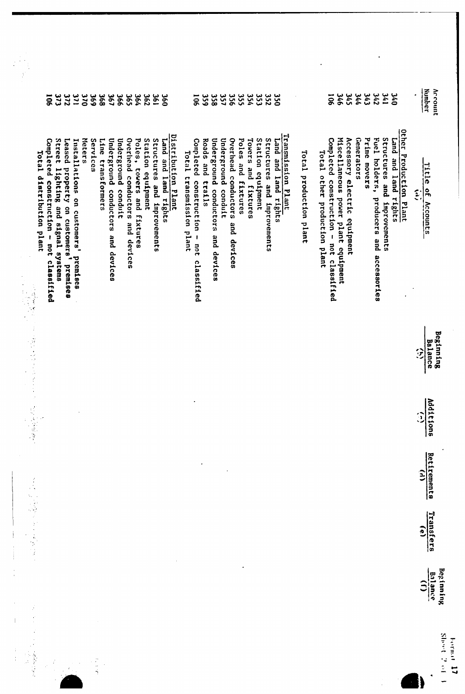|   | 177<br>198<br>373<br><b>272</b><br>$\frac{1}{20}$<br><b>369</b><br>368<br>198<br>366<br><b>365</b><br><b>362</b><br>198<br>$\overline{9}$<br>360                                                                                                                                                                                                                                                                                                                                                       | 356<br>355<br>354<br>357<br>352<br>353<br>358<br><b>OSE</b><br><b>959</b><br>$\overline{5}$                                                                                                                                                                                                                                                | 744<br>343<br>342<br>176<br><b>140</b><br><b>346</b><br><b>SVE</b><br>50 <sub>o</sub>                                                                                                                                                                                                                           | Number<br>Account                              |
|---|--------------------------------------------------------------------------------------------------------------------------------------------------------------------------------------------------------------------------------------------------------------------------------------------------------------------------------------------------------------------------------------------------------------------------------------------------------------------------------------------------------|--------------------------------------------------------------------------------------------------------------------------------------------------------------------------------------------------------------------------------------------------------------------------------------------------------------------------------------------|-----------------------------------------------------------------------------------------------------------------------------------------------------------------------------------------------------------------------------------------------------------------------------------------------------------------|------------------------------------------------|
|   | Distribution Plant<br>Overliead conductors and devices<br>Meters<br>Station equipment<br>Structures and improvements<br>Line<br>Underground conductors and devices<br>Underground conduit<br>Poles, towers and fixtures<br>Land and land rights<br>Completed construction - not classified<br>Street lighting and signal systems<br>Leased property on customers' premises<br>Services<br>Installations on customers' premises<br>Total distribution plant<br>Total transmission plant<br>transformers | Transmission Plant<br>Overhead conductors<br>Station equipment<br>Underground conductors and devices<br>Underground conduit<br>Structures and improvements<br>Land and land rights<br>Completed construction - not classified<br>Roads<br>Poles and fixtures<br>Towers and fixtures<br>Total production plant<br>and trails<br>and devices | Other Production Plant<br>Miscellaneous power plant equipment<br>Fuel holders, producers and accessories<br>Structures and improvements<br>Completed construction - not classified<br>Accessory electric equipment<br><b>Generators</b><br>Prime movers<br>Land and land rights<br>Total other production plant | <u>ritie</u><br>of Accounts<br>$\tilde{z}$     |
|   |                                                                                                                                                                                                                                                                                                                                                                                                                                                                                                        |                                                                                                                                                                                                                                                                                                                                            |                                                                                                                                                                                                                                                                                                                 | Beginning<br><b>Balance</b><br>兌               |
|   | 一、 この この この                                                                                                                                                                                                                                                                                                                                                                                                                                                                                            |                                                                                                                                                                                                                                                                                                                                            |                                                                                                                                                                                                                                                                                                                 | Additions<br>$\hat{c}$                         |
|   |                                                                                                                                                                                                                                                                                                                                                                                                                                                                                                        |                                                                                                                                                                                                                                                                                                                                            |                                                                                                                                                                                                                                                                                                                 | Retirements<br>$\hat{E}$                       |
|   | 医子宫<br>þ,<br>$\frac{1}{2}$                                                                                                                                                                                                                                                                                                                                                                                                                                                                             |                                                                                                                                                                                                                                                                                                                                            |                                                                                                                                                                                                                                                                                                                 | Transfers<br>Cel                               |
|   |                                                                                                                                                                                                                                                                                                                                                                                                                                                                                                        |                                                                                                                                                                                                                                                                                                                                            |                                                                                                                                                                                                                                                                                                                 | Beginning<br>Balance<br>$\widehat{\mathbf{c}}$ |
| ł | 计可分                                                                                                                                                                                                                                                                                                                                                                                                                                                                                                    |                                                                                                                                                                                                                                                                                                                                            |                                                                                                                                                                                                                                                                                                                 | <b>Shared Start</b><br>Format 17               |

 $\ddot{\phantom{1}}$ 

 $\ddot{\cdot}$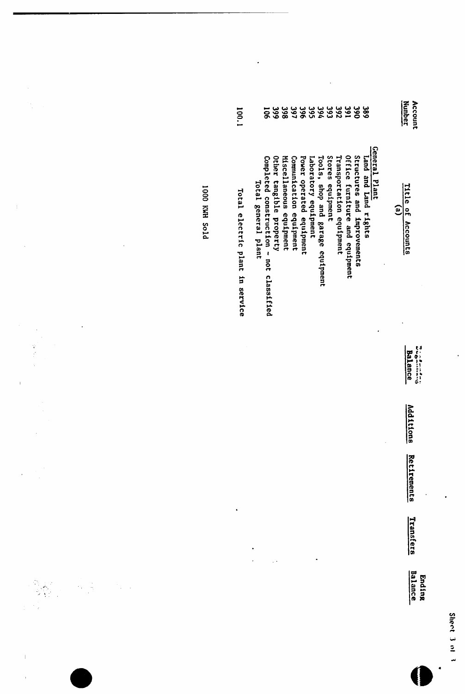| Ŵ         |
|-----------|
| える        |
| 7<br>۱    |
| فعنة<br>j |
| ⇒         |
|           |

 $\frac{1}{2}$ 

Additions Retirements

Transfers

Ending<br>Balance

| 1001                            | ក្ក                                                            | 362                                                | 99999999999<br>89999999999                         |                      |                                  |                  |                          |                                |                             | 382                  |               |   | Number<br>Account |           |
|---------------------------------|----------------------------------------------------------------|----------------------------------------------------|----------------------------------------------------|----------------------|----------------------------------|------------------|--------------------------|--------------------------------|-----------------------------|----------------------|---------------|---|-------------------|-----------|
| Total electric plant in service | Completed construction - not classified<br>Total general plant | Miscellaneous equipment<br>Other tangible property | Comunication equipment<br>Power operated equipment | Iaboratory equipment | Tools, shop and garage equipment | Stores equipment | Transportation equipment | Office furniture and equipment | Structures and improvements | Land and Land rights | General Plant | ව | Title of Accounts |           |
|                                 |                                                                |                                                    |                                                    |                      |                                  |                  |                          |                                |                             |                      |               |   | <b>Balance</b>    | ちょうしょうしょう |

**PTOS HMX 0001** 

 $\ddot{\phantom{0}}$ 

ý, 

一、 多少 人

 $\bar{1}$ 

 $\overline{1}$ 

 $\ddot{\phantom{0}}$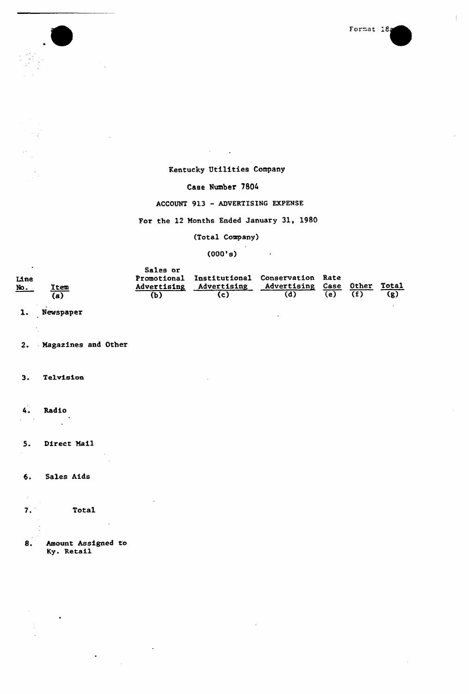

### Kentucky Utilities Company

### Case Number 7804

### ACCOUNT 913 —ADVERTISING EXPENSE

### For the 12 Months Ended January 31, 1980

### (Total Company)

 $\mathbb{R}^2$ 

### $(000's)$

|                                   |      | Sales or           |                                                                   |                         |     |       |              |
|-----------------------------------|------|--------------------|-------------------------------------------------------------------|-------------------------|-----|-------|--------------|
| Line<br>$\underline{\text{No}}$ . | Item | Advertising<br>(b) | Promotional Institutional Conservation Rate<br><b>Advertising</b> | <b>Advertising Case</b> | (e) | Other | Total<br>(g) |
|                                   | (a)  |                    |                                                                   |                         |     |       |              |

### 1. Newspaper

2. Magazines and Other

### 3. Telvision

4. Radio

### 5. Direct Mail

### 6. Sales Aids

7. Total

### 8. Amount Assigned to Ky. Retail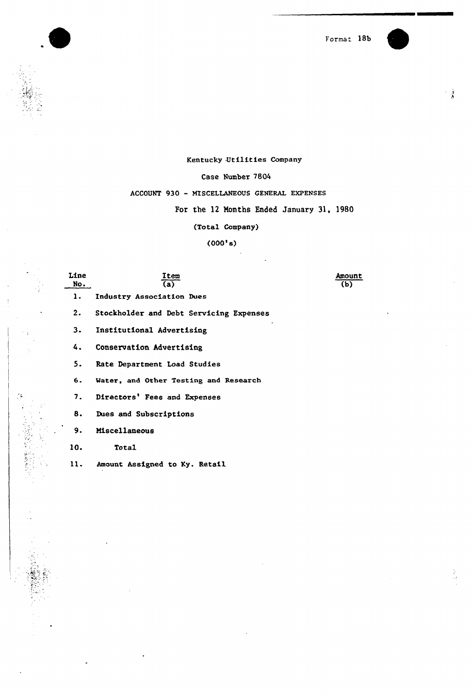Format 18b



### Kentucky Utilities Company

### Case Number 7804

### ACCOUNT 930 - MISCELLANEOUS GENERAL EXPENSES

### For the 12 Months Ended January 31, 1980

(Total Company)

### $(000's)$

Line <u>Item</u> Amount No.  $\overline{\mathbf{(a)}}$ (b)  $\mathbf{1}$ . Industry Association Dues 2. Stockholder and Debt Servicing Expenses  $3.$ Institutional Advertising 4. Conservation Advertising 5. Rate Department Load Studies  $6.$ Water, and Other Testing and Research  $7.$ Directors' Fees and Expenses 8. Dues and Subscriptions 9. Miscellaneous 10. Total ll. Amount Assigned to Ky. Retail

٠.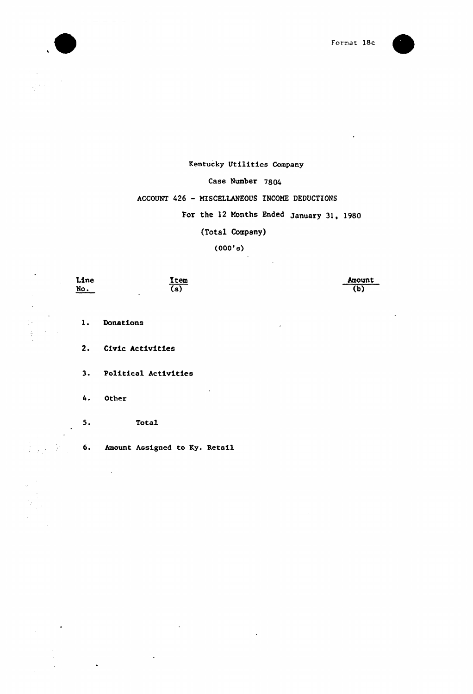

Amount (b)



### Kentucky Utilities Company

### Case Number 7804

### ACCOUNT 426 - MISCELLANEOUS INCOME DEDUCTIONS

### For the 12 Months Ended January 31,  $1980$

(Tota1 Company)

(000'6)

No. (a) 1. Donations 2. Civic Activities 3. Political Activities 4. Other 5. Total 6. Amount Assigned to Ky. Retail

Item

Line

 $\ddot{\phantom{a}}$ 

 $\sim$   $\sim$ 

 $\ddot{\phantom{a}}$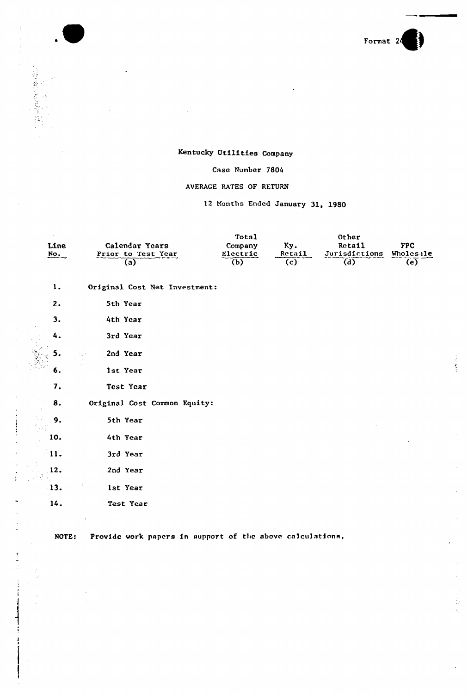

Ž.  $\overline{\mathcal{L}}$ 

表

### Kentucky Utilities Company

### Case Number 7804

### AVERAGE RATES OF RETURN

### 12 Months Ended January 31, 1980

| Line<br>No. | Calendar Years<br>Prior to Test Year<br>(a) | Total<br>Company<br>Electric<br>(b) | Ky.<br>Retail<br>(c) | Other<br>Retail<br>Jurisdictions<br>$\overline{d}$ | <b>FPC</b><br>Wholes 11<br>(e) |
|-------------|---------------------------------------------|-------------------------------------|----------------------|----------------------------------------------------|--------------------------------|
| 1.          | Original Cost Net Investment:               |                                     |                      |                                                    |                                |
| 2.          | 5th Year                                    |                                     |                      |                                                    |                                |
| 3.          | 4th Year                                    |                                     |                      |                                                    |                                |
| 4.          | 3rd Year                                    |                                     |                      |                                                    |                                |
| 5.          | 2nd Year                                    |                                     |                      |                                                    |                                |
| 6.          | 1st Year                                    |                                     |                      |                                                    |                                |
| 7.          | Test Year                                   |                                     |                      |                                                    |                                |
| 8.          | Original Cost Common Equity:                |                                     |                      |                                                    |                                |
| 9.          | 5th Year                                    |                                     |                      |                                                    |                                |
| 10.         | 4th Year                                    |                                     |                      |                                                    |                                |
| 11.         | 3rd Year                                    |                                     |                      |                                                    |                                |
| 12.         | 2nd Year                                    |                                     |                      |                                                    |                                |
| 13.         | 1st Year                                    |                                     |                      |                                                    |                                |
| 14.         | Test Year                                   |                                     |                      |                                                    |                                |
|             |                                             |                                     |                      |                                                    |                                |

 $\frac{1}{2}$ 

 $\frac{1}{2}$  .

1

ł

NOTE: Provide work papers in support of the above calculations,